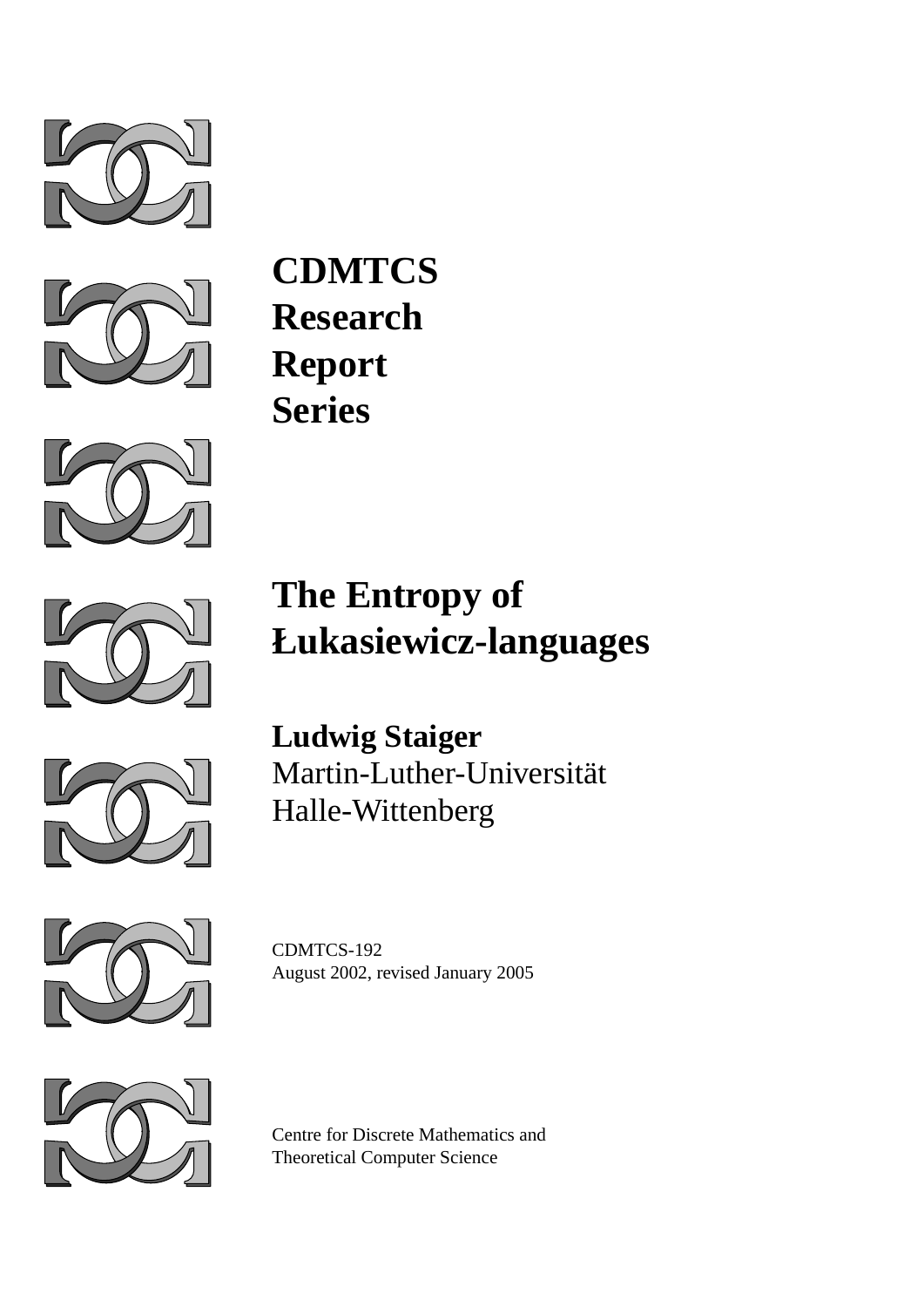



**CDMTCS Research Report Series**



# **The Entropy of Łukasiewicz-languages**



**Ludwig Staiger** Martin-Luther-Universitat¨ Halle-Wittenberg



CDMTCS-192 August 2002, revised January 2005



Centre for Discrete Mathematics and Theoretical Computer Science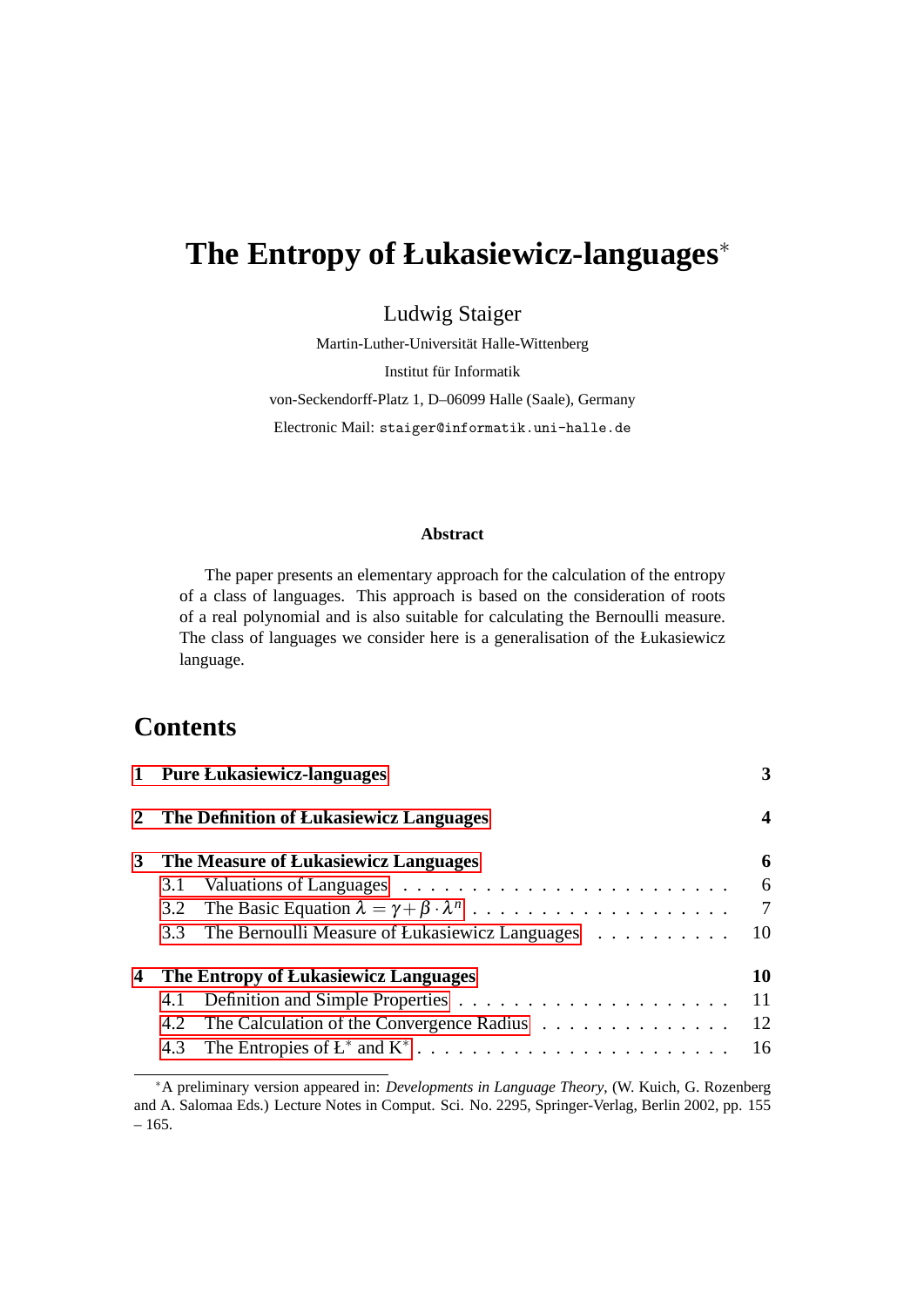## **The Entropy of Łukasiewicz-languages**<sup>∗</sup>

Ludwig Staiger

Martin-Luther-Universität Halle-Wittenberg

Institut für Informatik

von-Seckendorff-Platz 1, D–06099 Halle (Saale), Germany

Electronic Mail: staiger@informatik.uni-halle.de

#### **Abstract**

The paper presents an elementary approach for the calculation of the entropy of a class of languages. This approach is based on the consideration of roots of a real polynomial and is also suitable for calculating the Bernoulli measure. The class of languages we consider here is a generalisation of the Łukasiewicz language.

### **Contents**

|   | 1 Pure Łukasiewicz-languages         |                                                |                 |  |
|---|--------------------------------------|------------------------------------------------|-----------------|--|
|   |                                      | 2 The Definition of Lukasiewicz Languages      | 4               |  |
| 3 | The Measure of Lukasiewicz Languages |                                                |                 |  |
|   | 3.1                                  |                                                | 6               |  |
|   |                                      |                                                | $7\overline{ }$ |  |
|   | 3.3                                  | The Bernoulli Measure of Łukasiewicz Languages | 10              |  |
| 4 | The Entropy of Lukasiewicz Languages |                                                |                 |  |
|   |                                      |                                                | -11             |  |
|   | 4.2                                  | The Calculation of the Convergence Radius      | 12              |  |
|   |                                      |                                                |                 |  |

<sup>∗</sup>A preliminary version appeared in: *Developments in Language Theory*, (W. Kuich, G. Rozenberg and A. Salomaa Eds.) Lecture Notes in Comput. Sci. No. 2295, Springer-Verlag, Berlin 2002, pp. 155  $-165.$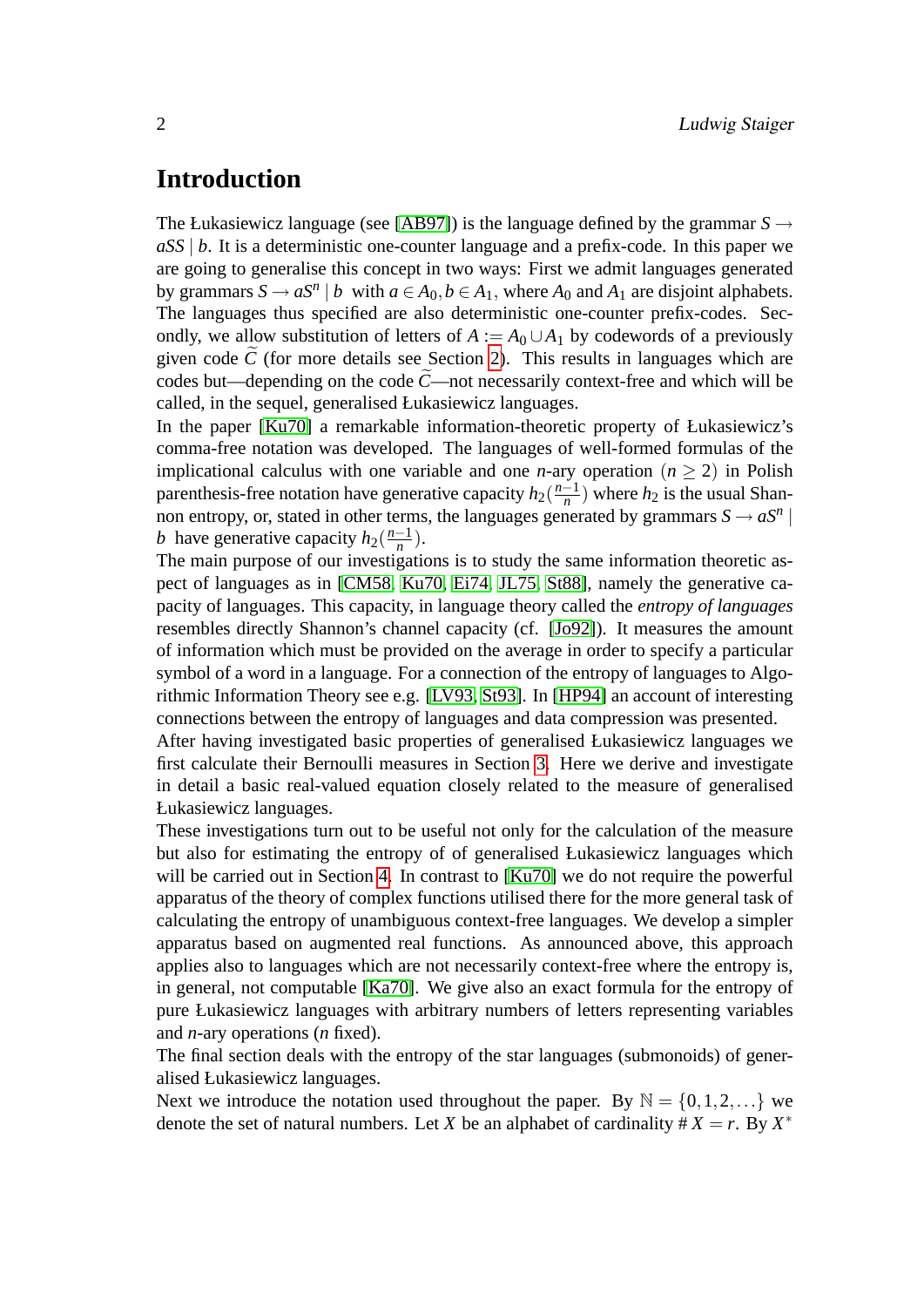### **Introduction**

The Łukasiewicz language (see [\[AB97\]](#page-19-0)) is the language defined by the grammar  $S \rightarrow$ *aSS* | *b*. It is a deterministic one-counter language and a prefix-code. In this paper we are going to generalise this concept in two ways: First we admit languages generated by grammars  $S \to aS^n \mid b$  with  $a \in A_0, b \in A_1$ , where  $A_0$  and  $A_1$  are disjoint alphabets. The languages thus specified are also deterministic one-counter prefix-codes. Secondly, we allow substitution of letters of  $A := A_0 \cup A_1$  by codewords of a previously given code  $\ddot{C}$  (for more details see Section [2\)](#page-4-0). This results in languages which are codes but—depending on the code  $\ddot{C}$ —not necessarily context-free and which will be called, in the sequel, generalised Łukasiewicz languages.

In the paper [\[Ku70\]](#page-19-1) a remarkable information-theoretic property of Łukasiewicz's comma-free notation was developed. The languages of well-formed formulas of the implicational calculus with one variable and one *n*-ary operation  $(n > 2)$  in Polish parenthesis-free notation have generative capacity  $h_2(\frac{n-1}{n})$  $\frac{-1}{n}$ ) where  $h_2$  is the usual Shannon entropy, or, stated in other terms, the languages generated by grammars  $S \to aS^n$ *b* have generative capacity  $h_2(\frac{n-1}{n})$  $\frac{-1}{n}$ ).

The main purpose of our investigations is to study the same information theoretic aspect of languages as in [\[CM58,](#page-19-2) [Ku70,](#page-19-1) [Ei74,](#page-19-3) [JL75,](#page-19-4) [St88\]](#page-19-5), namely the generative capacity of languages. This capacity, in language theory called the *entropy of languages* resembles directly Shannon's channel capacity (cf. [\[Jo92\]](#page-19-6)). It measures the amount of information which must be provided on the average in order to specify a particular symbol of a word in a language. For a connection of the entropy of languages to Algorithmic Information Theory see e.g. [\[LV93,](#page-19-7) [St93\]](#page-19-8). In [\[HP94\]](#page-19-9) an account of interesting connections between the entropy of languages and data compression was presented.

After having investigated basic properties of generalised Łukasiewicz languages we first calculate their Bernoulli measures in Section [3.](#page-6-0) Here we derive and investigate in detail a basic real-valued equation closely related to the measure of generalised Łukasiewicz languages.

These investigations turn out to be useful not only for the calculation of the measure but also for estimating the entropy of of generalised Łukasiewicz languages which will be carried out in Section [4.](#page-10-1) In contrast to [\[Ku70\]](#page-19-1) we do not require the powerful apparatus of the theory of complex functions utilised there for the more general task of calculating the entropy of unambiguous context-free languages. We develop a simpler apparatus based on augmented real functions. As announced above, this approach applies also to languages which are not necessarily context-free where the entropy is, in general, not computable [\[Ka70\]](#page-19-10). We give also an exact formula for the entropy of pure Łukasiewicz languages with arbitrary numbers of letters representing variables and *n*-ary operations (*n* fixed).

The final section deals with the entropy of the star languages (submonoids) of generalised Łukasiewicz languages.

Next we introduce the notation used throughout the paper. By  $\mathbb{N} = \{0, 1, 2, ...\}$  we denote the set of natural numbers. Let *X* be an alphabet of cardinality  $\# X = r$ . By  $X^*$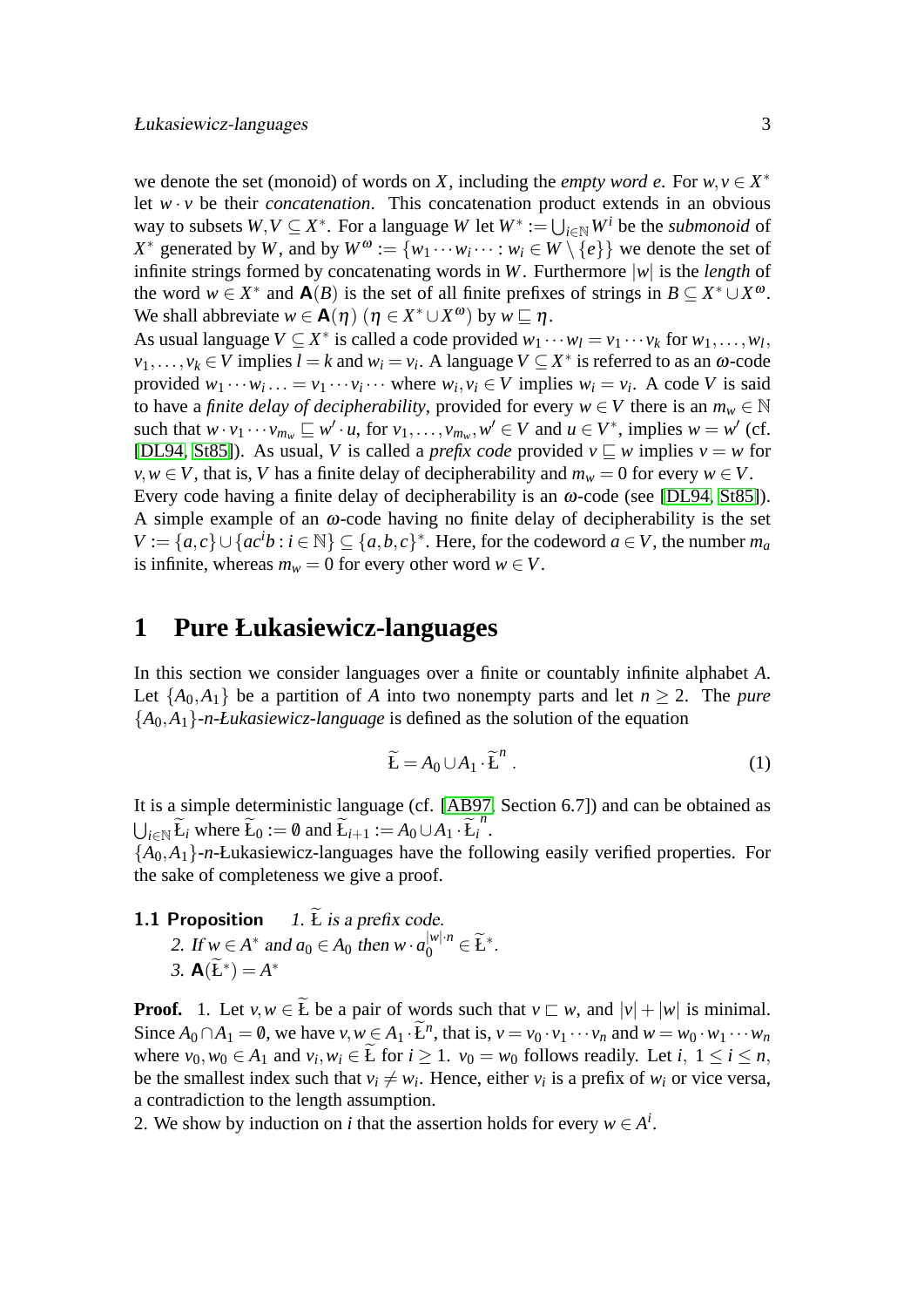we denote the set (monoid) of words on *X*, including the *empty word e*. For  $w, v \in X^*$ let  $w \cdot v$  be their *concatenation*. This concatenation product extends in an obvious way to subsets  $W, V \subseteq X^*$ . For a language  $W$  let  $W^* := \bigcup_{i \in \mathbb{N}} W^i$  be the *submonoid* of *X*<sup>\*</sup> generated by *W*, and by  $W^{\omega} := \{w_1 \cdots w_i \cdots : w_i \in W \setminus \{e\}\}\$  we denote the set of infinite strings formed by concatenating words in *W*. Furthermore |*w*| is the *length* of the word  $w \in X^*$  and  $\mathbf{A}(B)$  is the set of all finite prefixes of strings in  $B \subseteq X^* \cup X^{\omega}$ . We shall abbreviate  $w \in \mathbf{A}(\eta)$   $(\eta \in X^* \cup X^{\omega})$  by  $w \sqsubseteq \eta$ .

As usual language  $V \subseteq X^*$  is called a code provided  $w_1 \cdots w_l = v_1 \cdots v_k$  for  $w_1, \ldots, w_l$ ,  $v_1, \ldots, v_k \in V$  implies  $l = k$  and  $w_i = v_i$ . A language  $V \subseteq X^*$  is referred to as an  $\omega$ -code provided  $w_1 \cdots w_i \cdots = v_1 \cdots v_i \cdots$  where  $w_i, v_i \in V$  implies  $w_i = v_i$ . A code *V* is said to have a *finite delay of decipherability*, provided for every  $w \in V$  there is an  $m_w \in \mathbb{N}$ such that  $w \cdot v_1 \cdots v_{m_w} \sqsubseteq w' \cdot u$ , for  $v_1, \ldots, v_{m_w}, w' \in V$  and  $u \in V^*$ , implies  $w = w'$  (cf. [\[DL94,](#page-19-11) [St85\]](#page-19-12)). As usual, *V* is called a *prefix code* provided  $v \sqsubseteq w$  implies  $v = w$  for *v*, *w* ∈ *V*, that is, *V* has a finite delay of decipherability and  $m_w = 0$  for every  $w \in V$ . Every code having a finite delay of decipherability is an ω-code (see [\[DL94,](#page-19-11) [St85\]](#page-19-12)). A simple example of an  $\omega$ -code having no finite delay of decipherability is the set  $V := \{a, c\} \cup \{ac^i b : i \in \mathbb{N}\} \subseteq \{a, b, c\}^*$ . Here, for the codeword  $a \in V$ , the number  $m_a$ is infinite, whereas  $m_w = 0$  for every other word  $w \in V$ .

### <span id="page-3-0"></span>**1 Pure Łukasiewicz-languages**

In this section we consider languages over a finite or countably infinite alphabet *A*. Let  $\{A_0, A_1\}$  be a partition of *A* into two nonempty parts and let  $n \geq 2$ . The *pure* {*A*0,*A*1}*-n-Łukasiewicz-language* is defined as the solution of the equation

<span id="page-3-2"></span><span id="page-3-1"></span>
$$
\widetilde{\mathbf{E}} = A_0 \cup A_1 \cdot \widetilde{\mathbf{E}}^n \tag{1}
$$

It is a simple deterministic language (cf. [\[AB97,](#page-19-0) Section 6.7]) and can be obtained as  $\bigcup_{i \in \mathbb{N}} \widetilde{L}_i$  where  $\widetilde{L}_0 := \emptyset$  and  $\widetilde{L}_{i+1} := A_0 \cup A_1 \cdot \widetilde{L}_i^n$ .

 ${A_0, A_1}$ -*n*-Łukasiewicz-languages have the following easily verified properties. For the sake of completeness we give a proof.

**1.1 Proposition** *1. L* is a prefix code.

2. If  $w \in A^*$  and  $a_0 \in A_0$  then  $w \cdot a_0^{|w| \cdot n} \in \widetilde{\mathbf{L}}^*$ . 3.  $A(\widetilde{L}^*) = A^*$ 

**Proof.** 1. Let  $v, w \in E$  be a pair of words such that  $v \subset w$ , and  $|v| + |w|$  is minimal. Since  $A_0 \cap A_1 = \emptyset$ , we have  $v, w \in A_1 \cdot \tilde{L}^n$ , that is,  $v = v_0 \cdot v_1 \cdots v_n$  and  $w = w_0 \cdot w_1 \cdots w_n$ where  $v_0, w_0 \in A_1$  and  $v_i, w_i \in E$  for  $i \ge 1$ .  $v_0 = w_0$  follows readily. Let  $i, 1 \le i \le n$ , be the smallest index such that  $v_i \neq w_i$ . Hence, either  $v_i$  is a prefix of  $w_i$  or vice versa, a contradiction to the length assumption.

2. We show by induction on *i* that the assertion holds for every  $w \in A^i$ .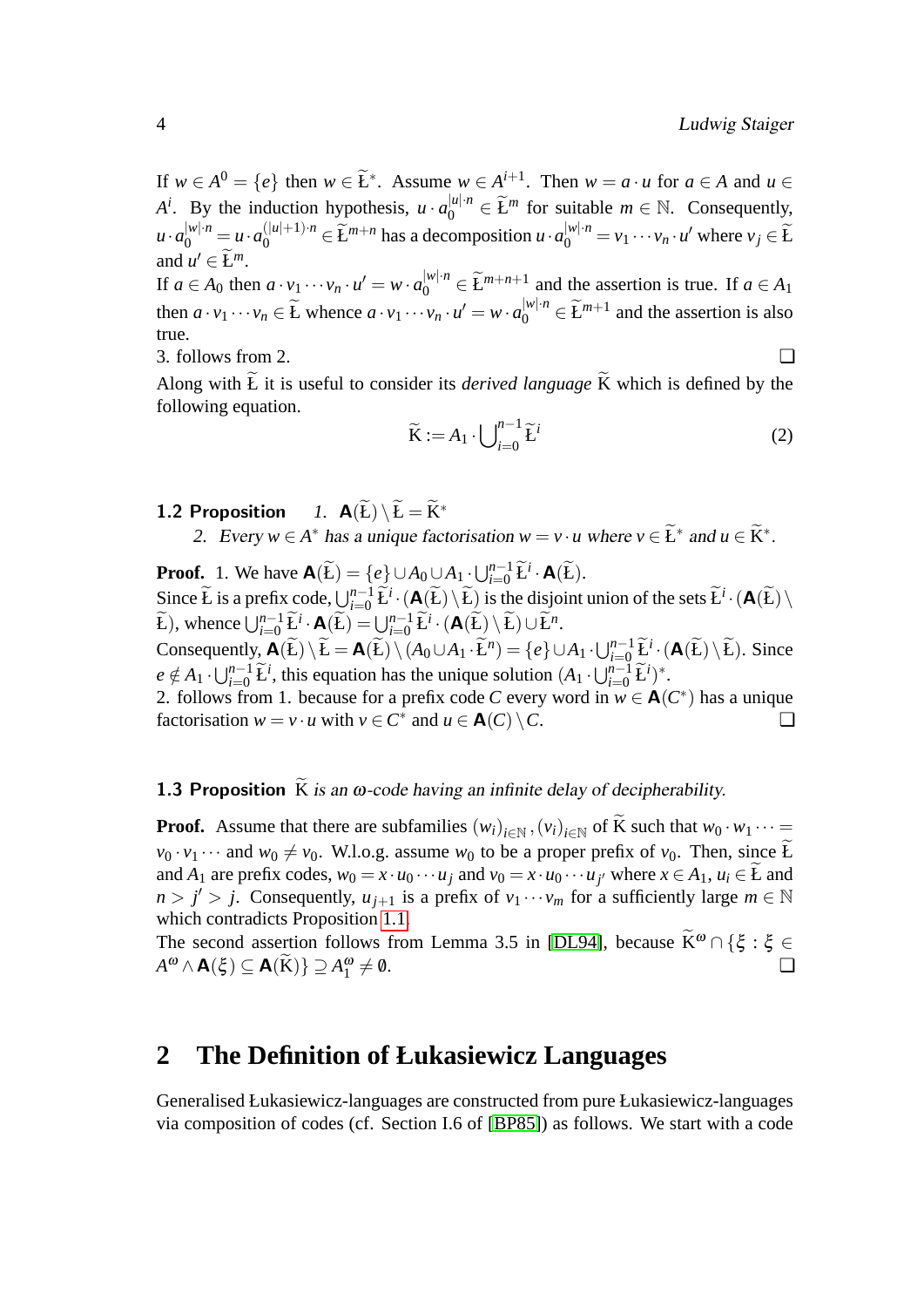If  $w \in A^0 = \{e\}$  then  $w \in \tilde{L}^*$ . Assume  $w \in A^{i+1}$ . Then  $w = a \cdot u$  for  $a \in A$  and  $u \in$  $A^i$ . By the induction hypothesis,  $u \cdot a_0^{|u| \cdot n} \in \widetilde{L}^m$  for suitable  $m \in \mathbb{N}$ . Consequently,  $u \cdot a_0^{|w| \cdot n} = u \cdot a_0^{|u|+1 \cdot n} \in \widetilde{L}^{m+n}$  has a decomposition  $u \cdot a_0^{|w| \cdot n} = v_1 \cdots v_n \cdot u'$  where  $v_j \in \widetilde{L}$ and  $u' \in \widetilde{L}^m$ . If  $a \in A_0$  then  $a \cdot v_1 \cdots v_n \cdot u' = w \cdot a_0^{|w| \cdot n} \in \tilde{L}^{m+n+1}$  and the assertion is true. If  $a \in A_1$ then  $a \cdot v_1 \cdots v_n \in \widetilde{L}$  whence  $a \cdot v_1 \cdots v_n \cdot u' = w \cdot a_0^{|w| \cdot n} \in \widetilde{L}^{m+1}$  and the assertion is also true. 3. follows from 2. ❏

Along with  $\widetilde{L}$  it is useful to consider its *derived language*  $\widetilde{K}$  which is defined by the following equation.

$$
\widetilde{\mathbf{K}} := A_1 \cdot \bigcup_{i=0}^{n-1} \widetilde{\mathbf{L}}^i
$$
\n(2)

<span id="page-4-1"></span>1.2 Proposition *1.*  $\mathbf{A}(\widetilde{L}) \setminus \widetilde{L} = \widetilde{K}^*$ 

2. Every  $w \in A^*$  has a unique factorisation  $w = v \cdot u$  where  $v \in \widetilde{E}^*$  and  $u \in \widetilde{K}^*$ .

**Proof.** 1. We have  $\mathbf{A}(\widetilde{\mathbf{L}}) = \{e\} \cup A_0 \cup A_1 \cdot \bigcup_{i=0}^{n-1} \widetilde{\mathbf{L}}^i \cdot \mathbf{A}(\widetilde{\mathbf{L}})$ . Since  $\widetilde{L}$  is a prefix code,  $\bigcup_{i=0}^{n-1} \widetilde{L}^i \cdot (A(\widetilde{L}) \setminus \widetilde{L})$  is the disjoint union of the sets  $\widetilde{L}^i \cdot (A(\widetilde{L}) \setminus \widetilde{L})$  $\widetilde{L}$ ), whence  $\bigcup_{i=0}^{n-1} \widetilde{L}^i \cdot \mathbf{A}(\widetilde{L}) = \bigcup_{i=0}^{n-1} \widetilde{L}^i \cdot (\mathbf{A}(\widetilde{L}) \setminus \widetilde{L}) \cup \widetilde{L}^n$ . Consequently,  $\mathbf{A}(\widetilde{E})\setminus \widetilde{E} = \mathbf{A}(\widetilde{E})\setminus (A_0\cup A_1\cdot \widetilde{E}^n) = \{e\}\cup A_1\cdot \bigcup_{i=0}^{n-1} \widetilde{E}^i\cdot (\mathbf{A}(\widetilde{E})\setminus \widetilde{E})$ . Since  $e \notin A_1 \cdot \bigcup_{i=0}^{n-1} \widetilde{E}^i$ , this equation has the unique solution  $(A_1 \cdot \bigcup_{i=0}^{n-1} \widetilde{E}^i)^*$ . 2. follows from 1. because for a prefix code *C* every word in  $w \in A(C^*)$  has a unique factorisation  $w = v \cdot u$  with  $v \in C^*$  and  $u \in \mathbf{A}(C) \setminus C$ .

#### <span id="page-4-2"></span>**1.3 Proposition** K is an  $\omega$ -code having an infinite delay of decipherability.

**Proof.** Assume that there are subfamilies  $(w_i)_{i \in \mathbb{N}}$ ,  $(v_i)_{i \in \mathbb{N}}$  of K such that  $w_0 \cdot w_1 \cdots =$  $v_0 \cdot v_1 \cdots$  and  $w_0 \neq v_0$ . W.l.o.g. assume  $w_0$  to be a proper prefix of  $v_0$ . Then, since  $\widetilde{L}$ and  $A_1$  are prefix codes,  $w_0 = x \cdot u_0 \cdots u_j$  and  $v_0 = x \cdot u_0 \cdots u_{j'}$  where  $x \in A_1$ ,  $u_i \in L$  and  $n > j' > j$ . Consequently,  $u_{j+1}$  is a prefix of  $v_1 \cdots v_m$  for a sufficiently large  $m \in \mathbb{N}$ which contradicts Proposition [1.1.](#page-3-1)

The second assertion follows from Lemma 3.5 in [\[DL94\]](#page-19-11), because  $\widetilde{K}^{\omega} \cap {\xi : \xi \in A^{\omega} \wedge \mathbf{A}(\xi) \subset \mathbf{A}(\widetilde{K})}$   $\supseteq A^{\omega} \neq \emptyset$ .  $A^{\omega} \wedge \mathbf{A}(\xi) \subseteq \mathbf{A}(\widetilde{\mathbf{K}}) \} \supseteq A_1^{\omega}$  $\neq 0.$ 

### <span id="page-4-0"></span>**2 The Definition of Łukasiewicz Languages**

Generalised Łukasiewicz-languages are constructed from pure Łukasiewicz-languages via composition of codes (cf. Section I.6 of [\[BP85\]](#page-19-13)) as follows. We start with a code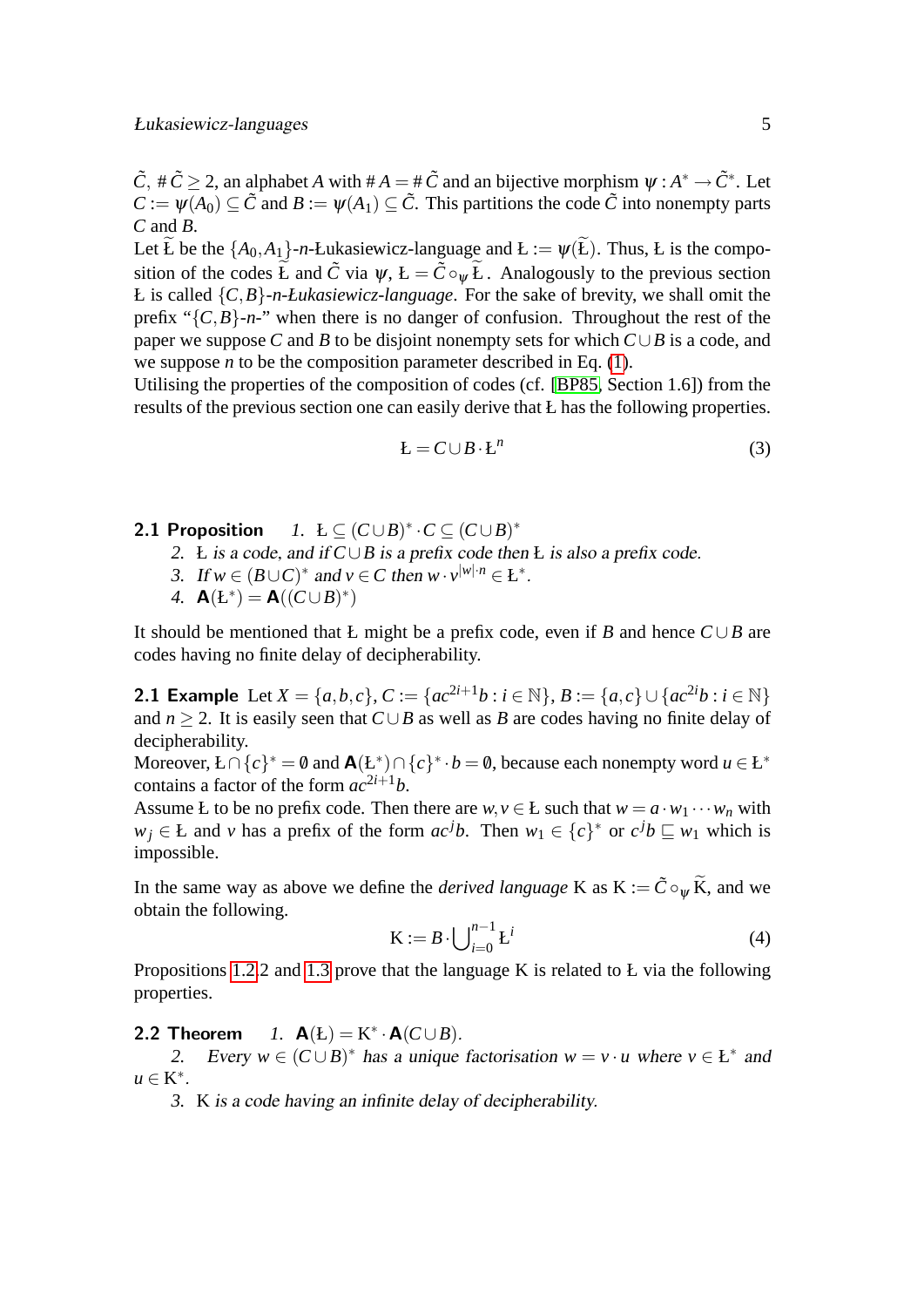$\tilde{C}$ ,  $\#\tilde{C} \geq 2$ , an alphabet *A* with  $\#A = \#\tilde{C}$  and an bijective morphism  $\psi : A^* \to \tilde{C}^*$ . Let  $C := \psi(A_0) \subset \tilde{C}$  and  $B := \psi(A_1) \subset \tilde{C}$ . This partitions the code  $\tilde{C}$  into nonempty parts *C* and *B*.

Let  $\widetilde{L}$  be the  $\{A_0, A_1\}$ -*n*-Łukasiewicz-language and  $L := \psi(\widetilde{L})$ . Thus, *L* is the composition of the codes  $\widetilde{L}$  and  $\widetilde{C}$  via  $\psi$ ,  $L = \widetilde{C} \circ_w \widetilde{L}$ . Analogously to the previous section Ł is called {*C*,*B*}*-n-Łukasiewicz-language*. For the sake of brevity, we shall omit the prefix " ${C, B}$ -*n*-" when there is no danger of confusion. Throughout the rest of the paper we suppose *C* and *B* to be disjoint nonempty sets for which *C*∪*B* is a code, and we suppose *n* to be the composition parameter described in Eq. [\(1\)](#page-3-2).

Utilising the properties of the composition of codes (cf. [\[BP85,](#page-19-13) Section 1.6]) from the results of the previous section one can easily derive that Ł has the following properties.

<span id="page-5-1"></span>
$$
E = C \cup B \cdot E^n \tag{3}
$$

- 2.1 Proposition  $\cdot^*$   $\cdot$   $C \subseteq (C \cup B)^*$ 
	- *2.* Ł is a code, and if *C*∪*B* is a prefix code then Ł is also a prefix code.
	- 3. If  $w \in (B \cup C)^*$  and  $v \in C$  then  $w \cdot v^{|w| \cdot n} \in L^*$ .
	- 4.  $A(E^*) = A((C \cup B)^*)$

It should be mentioned that Ł might be a prefix code, even if *B* and hence *C* ∪*B* are codes having no finite delay of decipherability.

**2.1 Example** Let *X* = {*a*,*b*,*c*}, *C* := {*ac*<sup>2*i*+1</sup>*b* : *i* ∈ N}, *B* := {*a,c*} ∪ {*ac*<sup>2*i*</sup>*b* : *i* ∈ N} and  $n > 2$ . It is easily seen that  $C \cup B$  as well as *B* are codes having no finite delay of decipherability.

Moreover,  $L \cap \{c\}^* = \emptyset$  and  $\mathbf{A}(L^*) \cap \{c\}^* \cdot b = \emptyset$ , because each nonempty word  $u \in L^*$ contains a factor of the form  $ac^{2i+1}b$ .

Assume Ł to be no prefix code. Then there are  $w, v \in E$  such that  $w = a \cdot w_1 \cdots w_n$  with *w*<sub>j</sub> ∈ Ł and *v* has a prefix of the form  $ac^{j}b$ . Then  $w_1 \in \{c\}^*$  or  $c^{j}b \sqsubseteq w_1$  which is impossible.

In the same way as above we define the *derived language* K as  $K := \tilde{C} \circ_w \tilde{K}$ , and we obtain the following.

<span id="page-5-0"></span>
$$
\mathbf{K} := B \cdot \bigcup_{i=0}^{n-1} \mathbf{L}^i \tag{4}
$$

<span id="page-5-2"></span>Propositions [1.2.](#page-4-1)2 and [1.3](#page-4-2) prove that the language K is related to Ł via the following properties.

### 2.2 Theorem *1.*  $A(E) = K^* \cdot A(C \cup B)$ .

2. Every  $w \in (C \cup B)^*$  has a unique factorisation  $w = v \cdot u$  where  $v \in L^*$  and  $u \in K^*$ .

*3.* K is a code having an infinite delay of decipherability.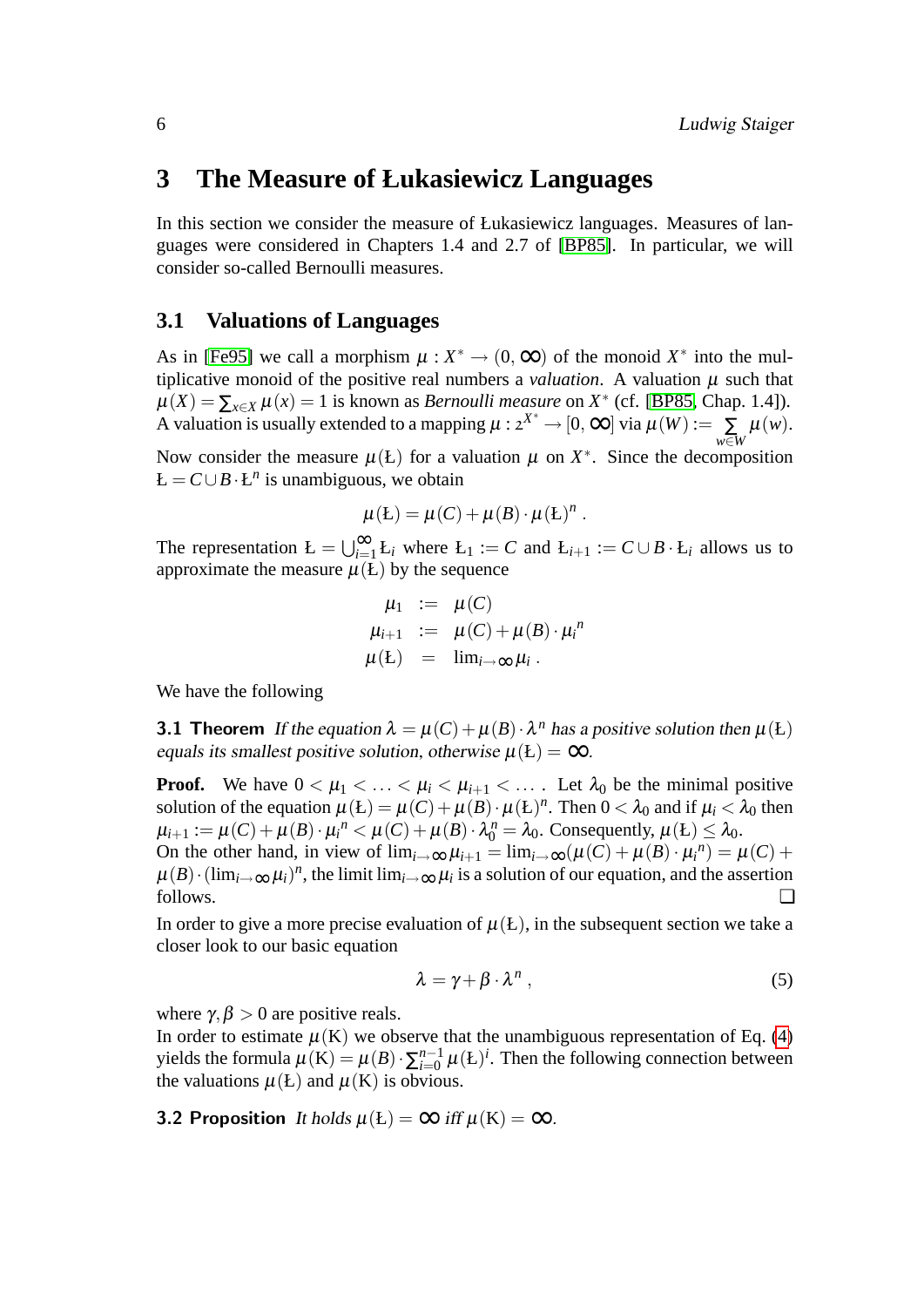### <span id="page-6-0"></span>**3 The Measure of Łukasiewicz Languages**

In this section we consider the measure of Łukasiewicz languages. Measures of languages were considered in Chapters 1.4 and 2.7 of [\[BP85\]](#page-19-13). In particular, we will consider so-called Bernoulli measures.

#### <span id="page-6-1"></span>**3.1 Valuations of Languages**

As in [\[Fe95\]](#page-19-14) we call a morphism  $\mu : X^* \to (0, \infty)$  of the monoid  $X^*$  into the multiplicative monoid of the positive real numbers a *valuation*. A valuation  $\mu$  such that  $\mu(X) = \sum_{x \in X} \mu(x) = 1$  is known as *Bernoulli measure* on  $X^*$  (cf. [\[BP85,](#page-19-13) Chap. 1.4]). A valuation is usually extended to a mapping  $\mu : 2^{X^*} \to [0, \infty]$  via  $\mu(W) := \sum_{w \in W}$  $\mu(w).$ 

Now consider the measure  $\mu$ (*L*) for a valuation  $\mu$  on  $X^*$ . Since the decomposition  $L = C \cup B \cdot L^n$  is unambiguous, we obtain

$$
\mu(E) = \mu(C) + \mu(B) \cdot \mu(E)^n.
$$

The representation  $E = \bigcup_{i=1}^{\infty} L_i$  where  $L_1 := C$  and  $L_{i+1} := C \cup B \cdot L_i$  allows us to approximate the measure  $\mu(E)$  by the sequence

<span id="page-6-3"></span>
$$
\mu_1 := \mu(C)
$$
  
\n
$$
\mu_{i+1} := \mu(C) + \mu(B) \cdot \mu_i^n
$$
  
\n
$$
\mu(E) = \lim_{i \to \infty} \mu_i.
$$

We have the following

**3.1 Theorem** If the equation  $\lambda = \mu(C) + \mu(B) \cdot \lambda^n$  has a positive solution then  $\mu(E)$ equals its smallest positive solution, otherwise  $\mu(E) = \infty$ .

**Proof.** We have  $0 < \mu_1 < \ldots < \mu_i < \mu_{i+1} < \ldots$ . Let  $\lambda_0$  be the minimal positive solution of the equation  $\mu(L) = \mu(C) + \mu(B) \cdot \mu(L)^n$ . Then  $0 < \lambda_0$  and if  $\mu_i < \lambda_0$  then  $\mu_{i+1} := \mu(C) + \mu(B) \cdot \mu_i^n < \mu(C) + \mu(B) \cdot \lambda_0^n = \lambda_0$ . Consequently,  $\mu(E) \leq \lambda_0$ . On the other hand, in view of  $\lim_{i\to\infty}\mu_{i+1} = \lim_{i\to\infty}(\mu(C) + \mu(B) \cdot \mu_i^n) = \mu(C) +$  $\mu(B) \cdot (\lim_{i \to \infty} \mu_i)^n$ , the limit  $\lim_{i \to \infty} \mu_i$  is a solution of our equation, and the assertion follows. ❏

In order to give a more precise evaluation of  $\mu(L)$ , in the subsequent section we take a closer look to our basic equation

<span id="page-6-2"></span>
$$
\lambda = \gamma + \beta \cdot \lambda^n \,, \tag{5}
$$

where  $\gamma, \beta > 0$  are positive reals.

In order to estimate  $\mu$ (K) we observe that the unambiguous representation of Eq. [\(4\)](#page-5-0) yields the formula  $\mu$ (K) =  $\mu$ (*B*) ·  $\sum_{i=0}^{n-1}$  $_{i=0}^{n-1}$   $\mu$ (Ł)<sup>*i*</sup>. Then the following connection between the valuations  $\mu(E)$  and  $\mu(K)$  is obvious.

**3.2 Proposition** It holds  $\mu(L) = \infty$  iff  $\mu(K) = \infty$ .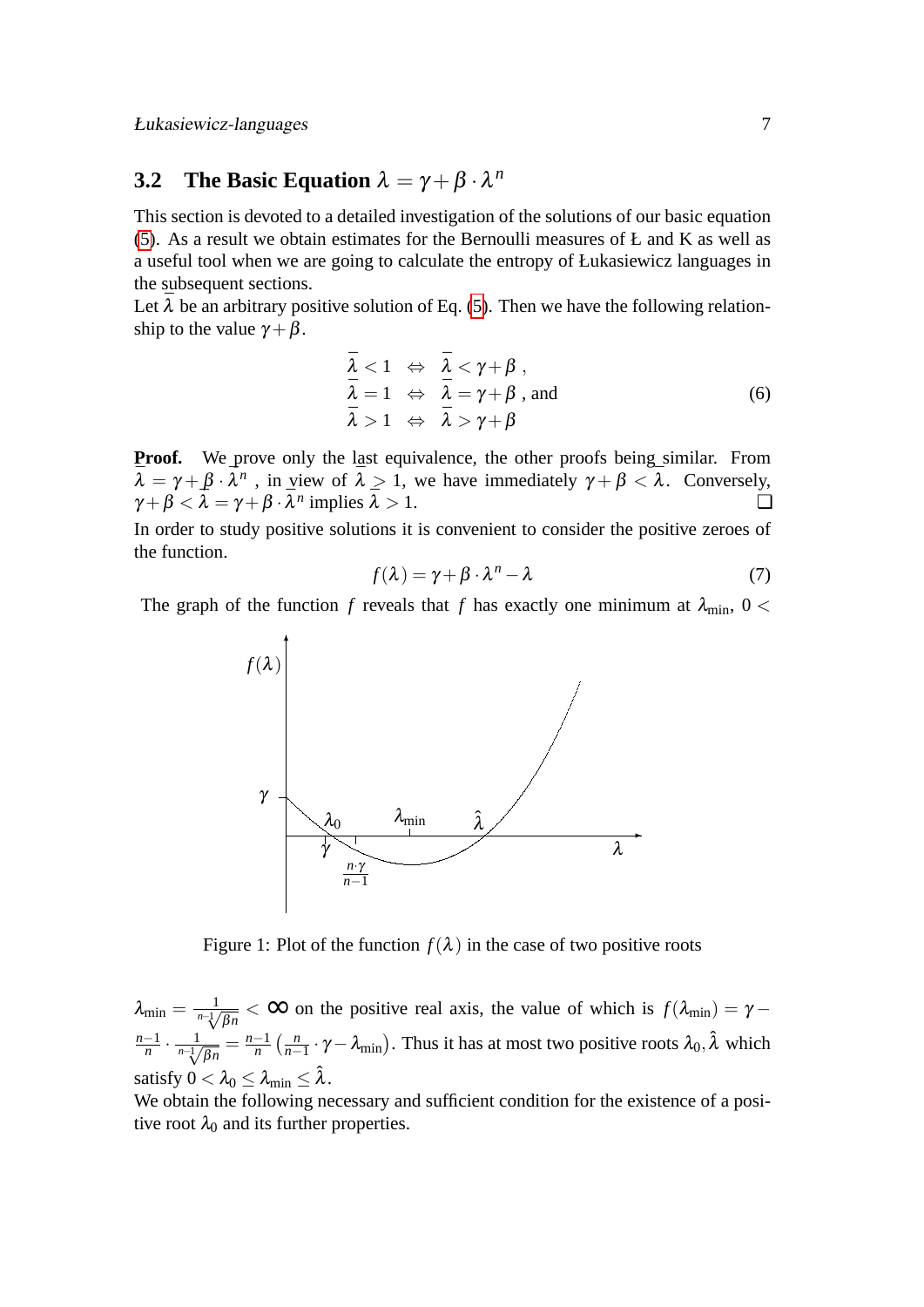Łukasiewicz-languages 7

### <span id="page-7-0"></span>**3.2** The Basic Equation  $\lambda = \gamma + \beta \cdot \lambda^n$

This section is devoted to a detailed investigation of the solutions of our basic equation [\(5\)](#page-6-2). As a result we obtain estimates for the Bernoulli measures of Ł and K as well as a useful tool when we are going to calculate the entropy of Łukasiewicz languages in the subsequent sections.

Let  $\bar{\lambda}$  be an arbitrary positive solution of Eq. [\(5\)](#page-6-2). Then we have the following relationship to the value  $\gamma + \beta$ .

<span id="page-7-1"></span>
$$
\begin{array}{lcl}\n\bar{\lambda} < 1 & \Leftrightarrow & \bar{\lambda} < \gamma + \beta, \\
\bar{\lambda} & = 1 & \Leftrightarrow & \bar{\lambda} = \gamma + \beta, \text{ and} \\
\bar{\lambda} > 1 & \Leftrightarrow & \bar{\lambda} > \gamma + \beta\n\end{array} \tag{6}
$$

**Proof.** We prove only the last equivalence, the other proofs being similar. From  $\bar{\lambda} = \gamma + \beta \cdot \bar{\lambda}^n$ , in view of  $\bar{\lambda} > 1$ , we have immediately  $\gamma + \beta < \bar{\lambda}$ . Conversely,  $\gamma + \beta < \bar{\lambda} = \gamma + \beta \cdot \bar{\lambda}^n$  implies  $\bar{\lambda} > 1$ .

In order to study positive solutions it is convenient to consider the positive zeroes of the function.

$$
f(\lambda) = \gamma + \beta \cdot \lambda^n - \lambda \tag{7}
$$

The graph of the function *f* reveals that *f* has exactly one minimum at  $\lambda_{\text{min}}$ , 0 <



Figure 1: Plot of the function  $f(\lambda)$  in the case of two positive roots

 $\lambda_{\min} = \frac{1}{n - \sqrt{\beta n}} < \infty$  on the positive real axis, the value of which is  $f(\lambda_{\min}) = \gamma$ *n*−1  $\frac{-1}{n} \cdot \frac{1}{n-\sqrt[n]{\beta n}} = \frac{n-1}{n}$  $\frac{-1}{n}$   $\left(\frac{n}{n-1}\right)$  $\frac{n}{n-1} \cdot \gamma - \lambda_{\min}$ ). Thus it has at most two positive roots  $\lambda_0$ ,  $\hat{\lambda}$  which satisfy  $0 < \lambda_0 < \lambda_{\min} < \hat{\lambda}$ .

We obtain the following necessary and sufficient condition for the existence of a positive root  $\lambda_0$  and its further properties.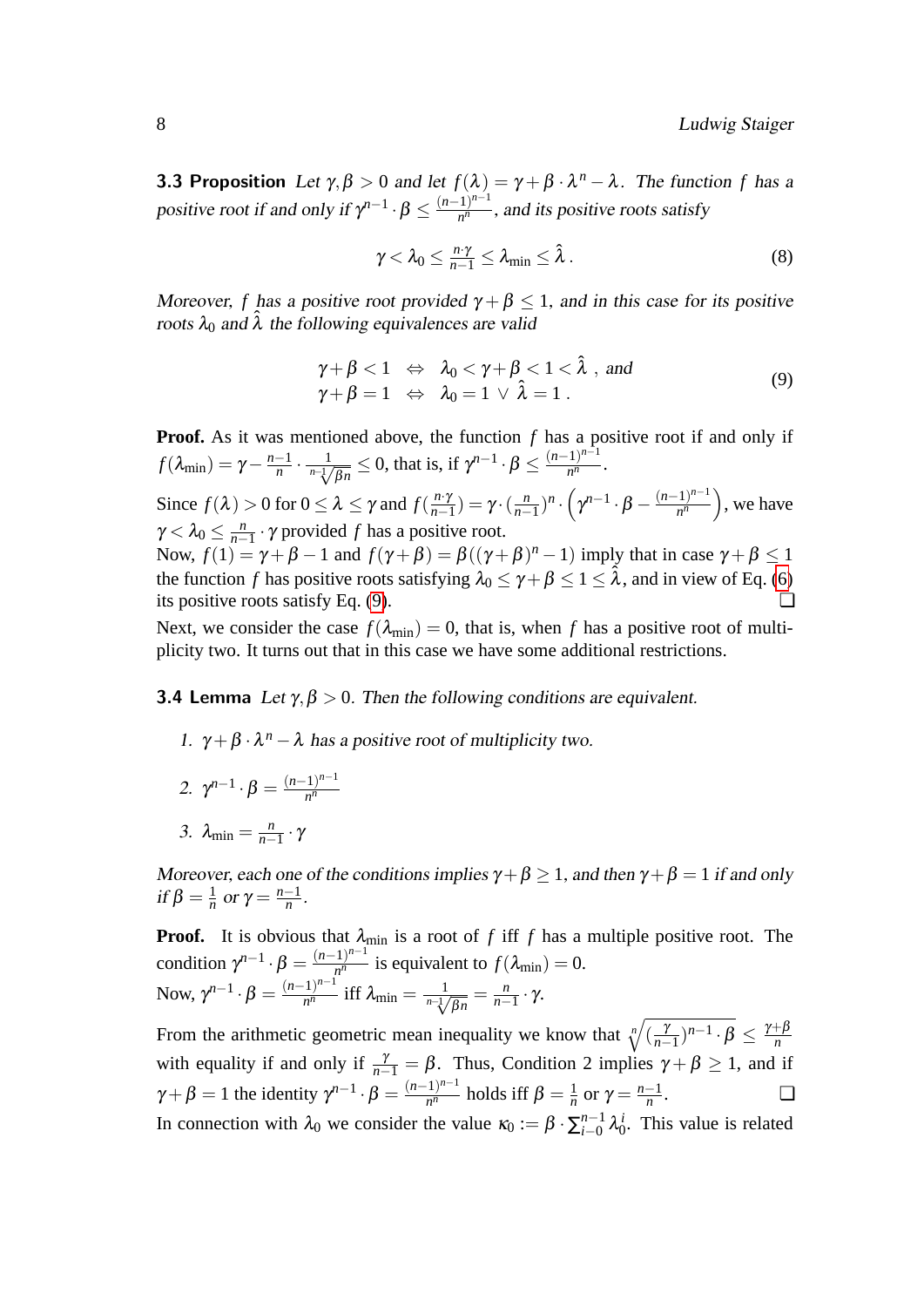**3.3 Proposition** Let  $\gamma, \beta > 0$  and let  $f(\lambda) = \gamma + \beta \cdot \lambda^n - \lambda$ . The function f has a positive root if and only if  $\gamma^{n-1} \cdot \beta \leq \frac{(n-1)^{n-1}}{n^n}$  $\frac{1}{n^n}$ , and its positive roots satisfy

<span id="page-8-2"></span>
$$
\gamma < \lambda_0 \leq \frac{n \cdot \gamma}{n-1} \leq \lambda_{\min} \leq \hat{\lambda} \,.
$$

Moreover, *f* has a positive root provided  $\gamma + \beta \leq 1$ , and in this case for its positive roots  $\lambda_0$  and  $\hat{\lambda}$  the following equivalences are valid

<span id="page-8-1"></span><span id="page-8-0"></span>
$$
\begin{array}{rcl}\n\gamma + \beta < 1 & \Leftrightarrow & \lambda_0 < \gamma + \beta < 1 < \hat{\lambda} \text{ , and} \\
\gamma + \beta & = 1 & \Leftrightarrow & \lambda_0 = 1 \lor \hat{\lambda} = 1 \text{ .}\n\end{array} \tag{9}
$$

**Proof.** As it was mentioned above, the function f has a positive root if and only if  $f(\lambda_{\min}) = \gamma - \frac{n-1}{n}$  $\frac{-1}{n} \cdot \frac{1}{n-\sqrt[n]{\beta n}} \le 0$ , that is, if  $\gamma^{n-1} \cdot \beta \le \frac{(n-1)^{n-1}}{n^n}$  $\frac{(n-1)^n}{n^n}$ .

Since  $f(\lambda) > 0$  for  $0 \leq \lambda \leq \gamma$  and  $f(\frac{n\cdot\gamma}{n-1})$  $\frac{n \cdot \gamma}{n-1}$ ) = γ $\cdot$  ( $\frac{n}{n-1}$  $\frac{n}{n-1}$ <sup>)n</sup> ·  $(\gamma^{n-1} \cdot \beta - \frac{(n-1)^{n-1}}{n^n})$  $\left(\frac{-1}{n^n}\right)$ , we have  $\gamma < \lambda_0 \leq \frac{n}{n-1}$ *n*−1 · γ provided *f* has a positive root. Now,  $f(1) = \gamma + \beta - 1$  and  $f(\gamma + \beta) = \beta((\gamma + \beta)^n - 1)$  imply that in case  $\gamma + \beta \le 1$ 

the function *f* has positive roots satisfying  $\lambda_0 \leq \gamma + \beta \leq 1 \leq \hat{\lambda}$ , and in view of Eq. [\(6\)](#page-7-1) its positive roots satisfy Eq. [\(9\)](#page-8-0).  $\Box$ 

Next, we consider the case  $f(\lambda_{\min}) = 0$ , that is, when f has a positive root of multiplicity two. It turns out that in this case we have some additional restrictions.

#### **3.4 Lemma** Let  $\gamma, \beta > 0$ . Then the following conditions are equivalent.

1.  $\gamma + \beta \cdot \lambda^n - \lambda$  has a positive root of multiplicity two.

$$
2. \ \gamma^{n-1} \cdot \beta = \frac{(n-1)^{n-1}}{n^n}
$$

3.  $\lambda_{\min} = \frac{n}{n-1}$  $\frac{n}{n-1} \cdot \gamma$ 

Moreover, each one of the conditions implies  $\gamma + \beta \ge 1$ , and then  $\gamma + \beta = 1$  if and only if  $\beta = \frac{1}{n}$  $\frac{1}{n}$  or  $\gamma = \frac{n-1}{n}$  $\frac{-1}{n}$ .

**Proof.** It is obvious that  $\lambda_{\min}$  is a root of *f* iff *f* has a multiple positive root. The condition  $\gamma^{n-1} \cdot \beta = \frac{(n-1)^{n-1}}{n^n}$  $\frac{f_1 f^{(n-1)}}{n^n}$  is equivalent to  $f(\lambda_{\min}) = 0$ . Now,  $\gamma^{n-1} \cdot \beta = \frac{(n-1)^{n-1}}{n^n}$  $\frac{1}{n^n}$  iff  $\lambda_{\min} = \frac{1}{n - \sqrt[n]{\beta n}} = \frac{n}{n - \beta}$  $\frac{n}{n-1} \cdot \gamma$ .

From the arithmetic geometric mean inequality we know that  $\sqrt[n]{\left(\frac{1}{n}\right)^n}$  $\frac{\gamma}{n-1}$ ) $^{n-1}\cdot\beta$   $\leq \frac{\gamma+\beta}{n}$ *n* with equality if and only if  $\frac{\gamma}{n-1} = \beta$ . Thus, Condition 2 implies  $\gamma + \beta \ge 1$ , and if  $\gamma + \beta = 1$  the identity  $\gamma^{n-1} \cdot \beta = \frac{(n-1)^{n-1}}{n^n}$  $\frac{(1)^{n-1}}{n^n}$  holds iff  $\beta = \frac{1}{n}$  $\frac{1}{n}$  or  $\gamma = \frac{n-1}{n}$ *n* . ❏

In connection with  $\lambda_0$  we consider the value  $\kappa_0 := \beta \cdot \sum_{i=0}^{n-1}$  $_{i=0}^{n-1} \lambda_0^i$ . This value is related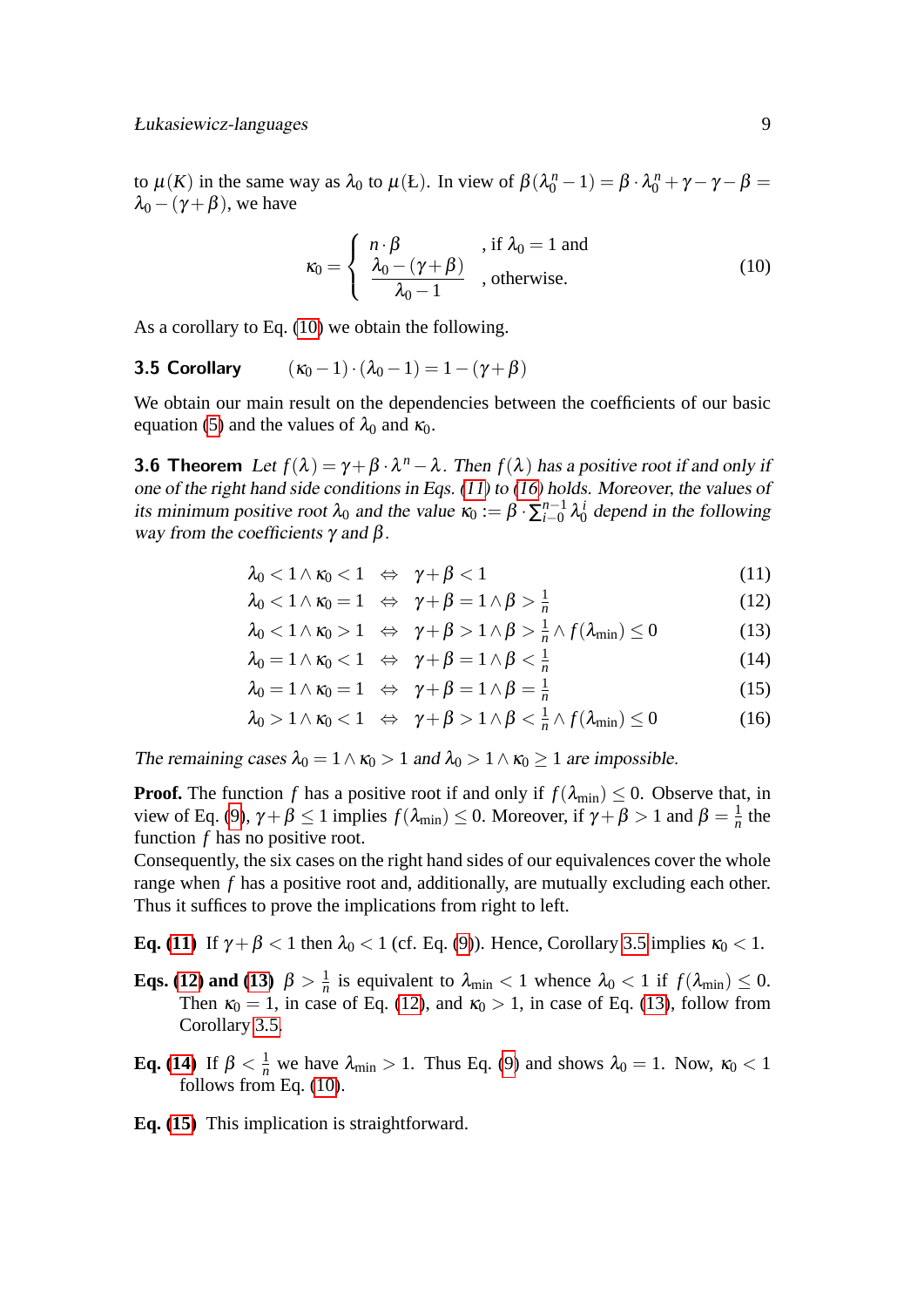to  $\mu(K)$  in the same way as  $\lambda_0$  to  $\mu(L)$ . In view of  $\beta(\lambda_0^n - 1) = \beta \cdot \lambda_0^n + \gamma - \gamma - \beta =$  $\lambda_0 - (\gamma + \beta)$ , we have

<span id="page-9-3"></span><span id="page-9-2"></span><span id="page-9-0"></span>
$$
\kappa_0 = \begin{cases} n \cdot \beta & \text{if } \lambda_0 = 1 \text{ and} \\ \frac{\lambda_0 - (\gamma + \beta)}{\lambda_0 - 1} & \text{otherwise.} \end{cases} \tag{10}
$$

As a corollary to Eq. [\(10\)](#page-9-0) we obtain the following.

### 3.5 Corollary  $(\kappa_0 - 1) \cdot (\lambda_0 - 1) = 1 - (\gamma + \beta)$

We obtain our main result on the dependencies between the coefficients of our basic equation [\(5\)](#page-6-2) and the values of  $\lambda_0$  and  $\kappa_0$ .

**3.6 Theorem** Let  $f(\lambda) = \gamma + \beta \cdot \lambda^n - \lambda$ . Then  $f(\lambda)$  has a positive root if and only if one of the right hand side conditions in Eqs. [\(11\)](#page-9-1) to [\(16\)](#page-9-1) holds. Moreover, the values of its minimum positive root  $\lambda_0$  and the value  $\kappa_0 := \beta \cdot \sum_{i=0}^{n-1}$  $_{i=0}^{n-1} \lambda_0^i$  depend in the following way from the coefficients  $\gamma$  and  $\beta$ .

$$
\lambda_0 < 1 \wedge \kappa_0 < 1 \quad \Leftrightarrow \quad \gamma + \beta < 1 \tag{11}
$$

<span id="page-9-1"></span>
$$
\lambda_0 < 1 \land \kappa_0 = 1 \quad \Leftrightarrow \quad \gamma + \beta = 1 \land \beta > \frac{1}{n} \tag{12}
$$

$$
\lambda_0 < 1 \land \kappa_0 > 1 \quad \Leftrightarrow \quad \gamma + \beta > 1 \land \beta > \frac{1}{n} \land f(\lambda_{\min}) \le 0 \tag{13}
$$

$$
\lambda_0 = 1 \wedge \kappa_0 < 1 \quad \Leftrightarrow \quad \gamma + \beta = 1 \wedge \beta < \frac{1}{n} \tag{14}
$$

$$
\lambda_0 = 1 \wedge \kappa_0 = 1 \iff \gamma + \beta = 1 \wedge \beta = \frac{1}{n} \tag{15}
$$

$$
\lambda_0 > 1 \wedge \kappa_0 < 1 \quad \Leftrightarrow \quad \gamma + \beta > 1 \wedge \beta < \frac{1}{n} \wedge f(\lambda_{\min}) \le 0 \tag{16}
$$

The remaining cases  $\lambda_0 = 1 \wedge \kappa_0 > 1$  and  $\lambda_0 > 1 \wedge \kappa_0 \ge 1$  are impossible.

**Proof.** The function *f* has a positive root if and only if  $f(\lambda_{\min}) \leq 0$ . Observe that, in view of Eq. [\(9\)](#page-8-0),  $\gamma + \beta \le 1$  implies  $f(\lambda_{\min}) \le 0$ . Moreover, if  $\gamma + \beta > 1$  and  $\beta = \frac{1}{n}$  $\frac{1}{n}$  the function *f* has no positive root.

Consequently, the six cases on the right hand sides of our equivalences cover the whole range when *f* has a positive root and, additionally, are mutually excluding each other. Thus it suffices to prove the implications from right to left.

**Eq. [\(11\)](#page-9-1)** If  $\gamma + \beta < 1$  then  $\lambda_0 < 1$  (cf. Eq. [\(9\)](#page-8-0)). Hence, Corollary [3.5](#page-9-2) implies  $\kappa_0 < 1$ .

- **Eqs.** [\(12\)](#page-9-1) and [\(13\)](#page-9-1)  $\beta > \frac{1}{n}$  $\frac{1}{n}$  is equivalent to  $\lambda_{\min}$  < 1 whence  $\lambda_0$  < 1 if  $f(\lambda_{\min}) \leq 0$ . Then  $\kappa_0 = 1$ , in case of Eq. [\(12\)](#page-9-1), and  $\kappa_0 > 1$ , in case of Eq. [\(13\)](#page-9-1), follow from Corollary [3.5.](#page-9-2)
- **Eq. [\(14\)](#page-9-1)** If  $\beta < \frac{1}{n}$  we have  $\lambda_{\min} > 1$ . Thus Eq. [\(9\)](#page-8-0) and shows  $\lambda_0 = 1$ . Now,  $\kappa_0 < 1$ follows from Eq. [\(10\)](#page-9-0).

**Eq. [\(15\)](#page-9-1)** This implication is straightforward.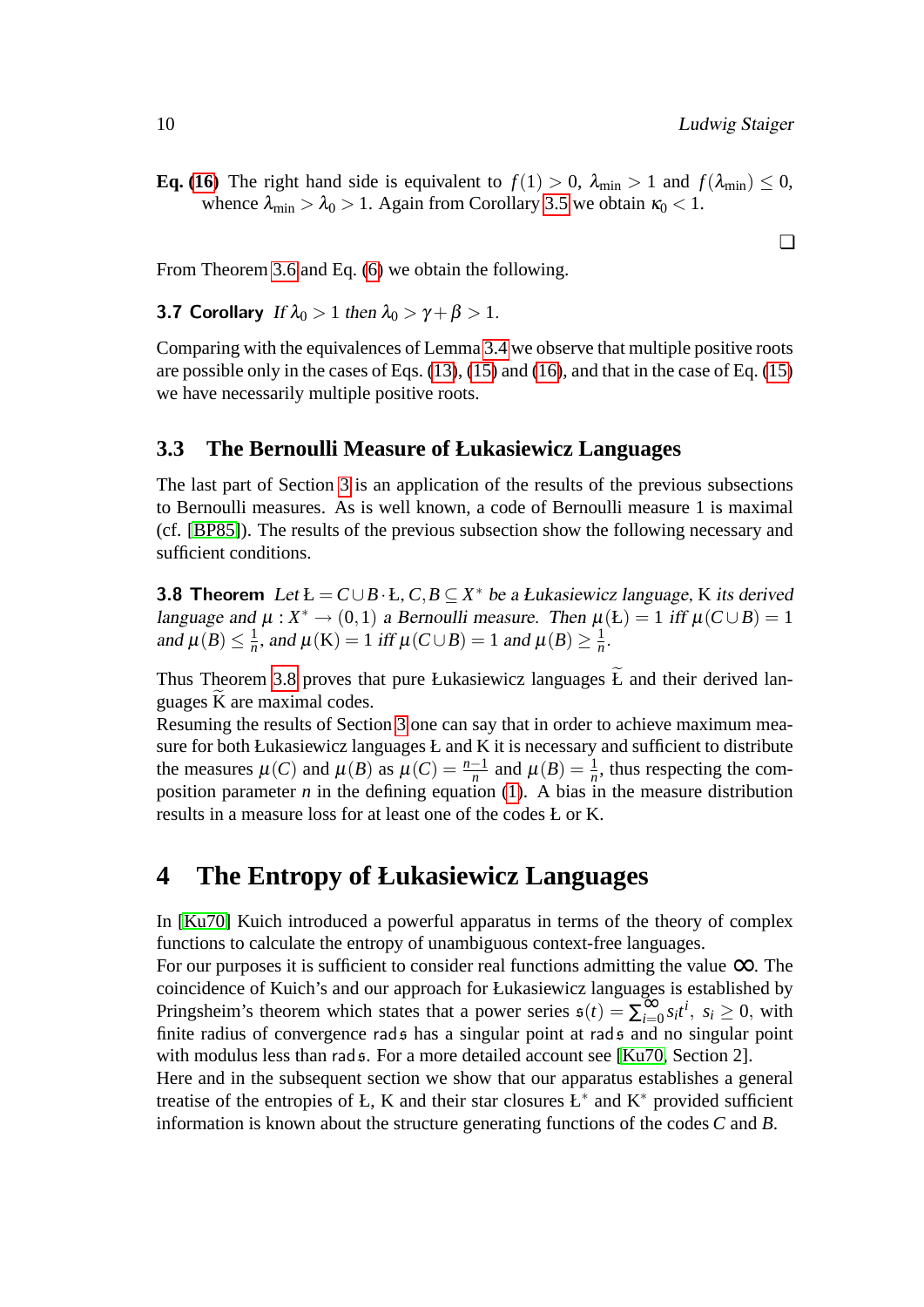❏

**Eq.** [\(16\)](#page-9-1) The right hand side is equivalent to  $f(1) > 0$ ,  $\lambda_{\min} > 1$  and  $f(\lambda_{\min}) \leq 0$ , whence  $\lambda_{\min} > \lambda_0 > 1$ . Again from Corollary [3.5](#page-9-2) we obtain  $\kappa_0 < 1$ .

From Theorem [3.6](#page-9-3) and Eq. [\(6\)](#page-7-1) we obtain the following.

**3.7 Corollary** If  $\lambda_0 > 1$  then  $\lambda_0 > \gamma + \beta > 1$ .

Comparing with the equivalences of Lemma [3.4](#page-8-1) we observe that multiple positive roots are possible only in the cases of Eqs. [\(13\)](#page-9-1), [\(15\)](#page-9-1) and [\(16\)](#page-9-1), and that in the case of Eq. [\(15\)](#page-9-1) we have necessarily multiple positive roots.

#### <span id="page-10-0"></span>**3.3 The Bernoulli Measure of Łukasiewicz Languages**

The last part of Section [3](#page-6-0) is an application of the results of the previous subsections to Bernoulli measures. As is well known, a code of Bernoulli measure 1 is maximal (cf. [\[BP85\]](#page-19-13)). The results of the previous subsection show the following necessary and sufficient conditions.

<span id="page-10-2"></span>**3.8 Theorem** Let  $L = C \cup B \cdot L$ ,  $C, B \subseteq X^*$  be a *Łukasiewicz language*, K its derived language and  $\mu : X^* \to (0,1)$  a Bernoulli measure. Then  $\mu(\mathbf{L}) = 1$  iff  $\mu(C \cup B) = 1$ and  $\mu(B) \leq \frac{1}{n}$  $\frac{1}{n}$ , and  $\mu(K) = 1$  iff  $\mu(C \cup B) = 1$  and  $\mu(B) \ge \frac{1}{n}$  $\frac{1}{n}$ .

Thus Theorem [3.8](#page-10-2) proves that pure Łukasiewicz languages  $\widetilde{L}$  and their derived languages K are maximal codes.

Resuming the results of Section [3](#page-6-0) one can say that in order to achieve maximum measure for both Łukasiewicz languages Ł and K it is necessary and sufficient to distribute the measures  $\mu(C)$  and  $\mu(B)$  as  $\mu(C) = \frac{n-1}{n}$  and  $\mu(B) = \frac{1}{n}$ , thus respecting the composition parameter  $n$  in the defining equation [\(1\)](#page-3-2). A bias in the measure distribution results in a measure loss for at least one of the codes Ł or K.

### <span id="page-10-1"></span>**4 The Entropy of Łukasiewicz Languages**

In [\[Ku70\]](#page-19-1) Kuich introduced a powerful apparatus in terms of the theory of complex functions to calculate the entropy of unambiguous context-free languages.

For our purposes it is sufficient to consider real functions admitting the value  $\infty$ . The coincidence of Kuich's and our approach for Łukasiewicz languages is established by Pringsheim's theorem which states that a power series  $s(t) = \sum_{i=0}^{\infty} s_i t^i$ ,  $s_i \ge 0$ , with finite radius of convergence rads has a singular point at rads and no singular point with modulus less than rad  $\epsilon$ . For a more detailed account see [\[Ku70,](#page-19-1) Section 2].

Here and in the subsequent section we show that our apparatus establishes a general treatise of the entropies of Ł, K and their star closures  $L^*$  and  $K^*$  provided sufficient information is known about the structure generating functions of the codes *C* and *B*.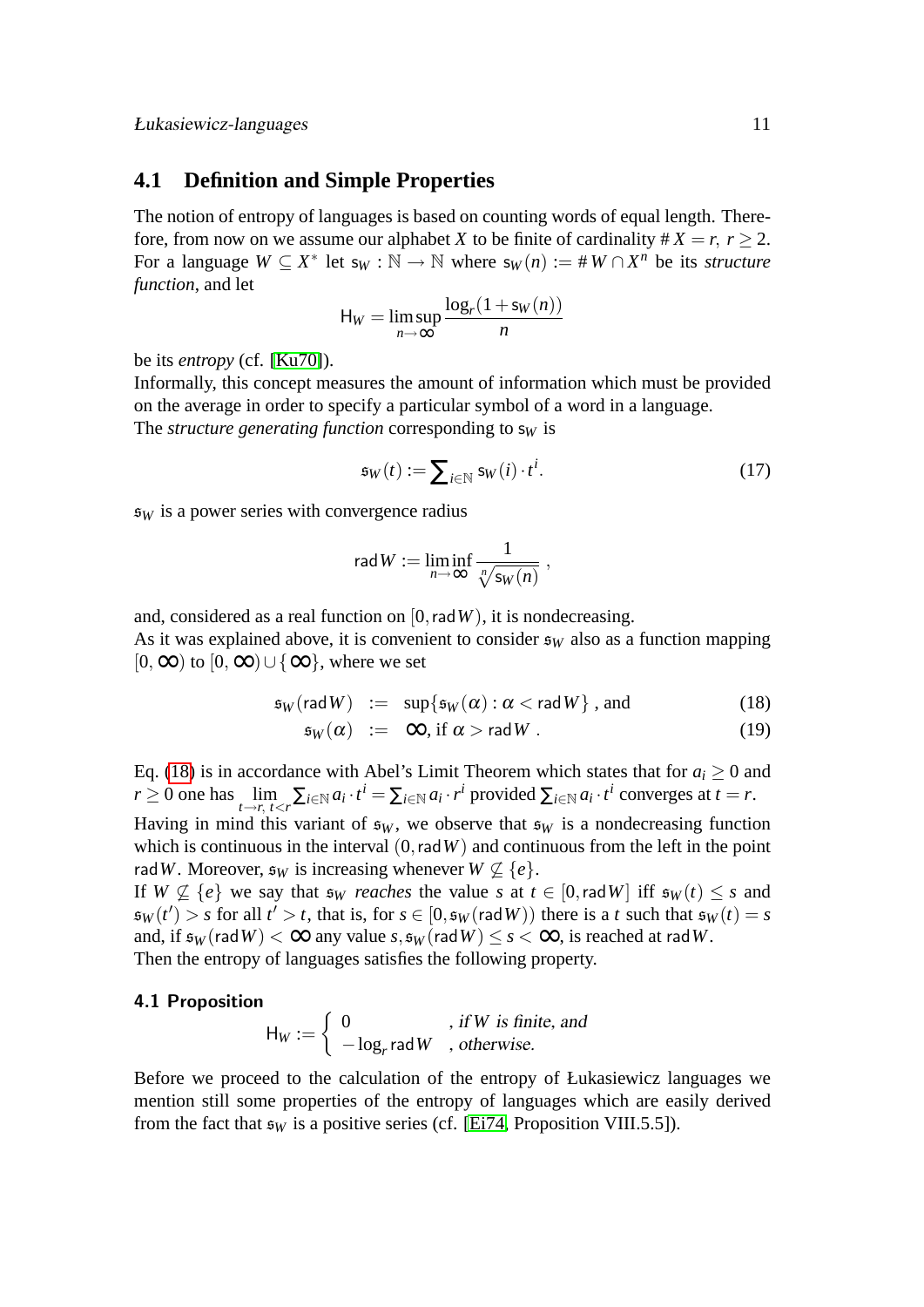#### <span id="page-11-0"></span>**4.1 Definition and Simple Properties**

The notion of entropy of languages is based on counting words of equal length. Therefore, from now on we assume our alphabet *X* to be finite of cardinality  $\# X = r$ ,  $r > 2$ . For a language  $W \subseteq X^*$  let  $s_W : \mathbb{N} \to \mathbb{N}$  where  $s_W(n) := #W \cap X^n$  be its *structure function*, and let

$$
H_W = \limsup_{n \to \infty} \frac{\log_r(1 + s_W(n))}{n}
$$

be its *entropy* (cf. [\[Ku70\]](#page-19-1)).

Informally, this concept measures the amount of information which must be provided on the average in order to specify a particular symbol of a word in a language. The *structure generating function* corresponding to  $s_W$  is

$$
\mathfrak{s}_W(t) := \sum_{i \in \mathbb{N}} \mathfrak{s}_W(i) \cdot t^i. \tag{17}
$$

 $s_W$  is a power series with convergence radius

$$
\mathsf{rad}\, W := \liminf_{n\to\infty} \frac{1}{\sqrt[n]{\mathsf{s}_W(n)}}\ ,
$$

and, considered as a real function on  $[0, radW)$ , it is nondecreasing. As it was explained above, it is convenient to consider  $\epsilon_W$  also as a function mapping  $[0, \infty)$  to  $[0, \infty) \cup {\infty}$ , where we set

<span id="page-11-1"></span>
$$
\mathfrak{s}_W(\text{rad}\,W) \ := \ \sup\{\mathfrak{s}_W(\alpha) : \alpha < \text{rad}\,W\} \ ,\ \text{and} \tag{18}
$$

$$
\mathfrak{s}_W(\alpha) \ := \ \infty, \text{ if } \alpha > \text{rad} \, W \, . \tag{19}
$$

Eq. [\(18\)](#page-11-1) is in accordance with Abel's Limit Theorem which states that for  $a_i \geq 0$  and  $r \ge 0$  one has  $\lim_{t \to r, t < r} \sum_{i \in \mathbb{N}} a_i \cdot t^i = \sum_{i \in \mathbb{N}} a_i \cdot r^i$  provided  $\sum_{i \in \mathbb{N}} a_i \cdot t^i$  converges at  $t = r$ . Having in mind this variant of  $\epsilon_W$ , we observe that  $\epsilon_W$  is a nondecreasing function which is continuous in the interval  $(0, radW)$  and continuous from the left in the point rad *W*. Moreover,  $\mathfrak{s}_W$  is increasing whenever  $W \not\subset \{e\}.$ If *W*  $\varphi$  { $e$ } we say that  $\mathfrak{s}_W$  *reaches* the value *s* at  $t \in [0, \text{rad } W]$  iff  $\mathfrak{s}_W(t) \leq s$  and  $\mathfrak{s}_W(t') > s$  for all  $t' > t$ , that is, for  $s \in [0, \mathfrak{s}_W(\text{rad }W))$  there is a *t* such that  $\mathfrak{s}_W(t) = s$ and, if  $\epsilon_W$  (rad *W*) <  $\infty$  any value *s*,  $\epsilon_W$  (rad *W*) < *s* <  $\infty$ , is reached at rad *W*.

Then the entropy of languages satisfies the following property.

#### 4.1 Proposition

<span id="page-11-3"></span><span id="page-11-2"></span>
$$
H_W := \begin{cases} 0 & , \text{ if } W \text{ is finite, and} \\ -\log_r \text{rad } W & , \text{ otherwise.} \end{cases}
$$

Before we proceed to the calculation of the entropy of Łukasiewicz languages we mention still some properties of the entropy of languages which are easily derived from the fact that  $\mathfrak{s}_W$  is a positive series (cf. [\[Ei74,](#page-19-3) Proposition VIII.5.5]).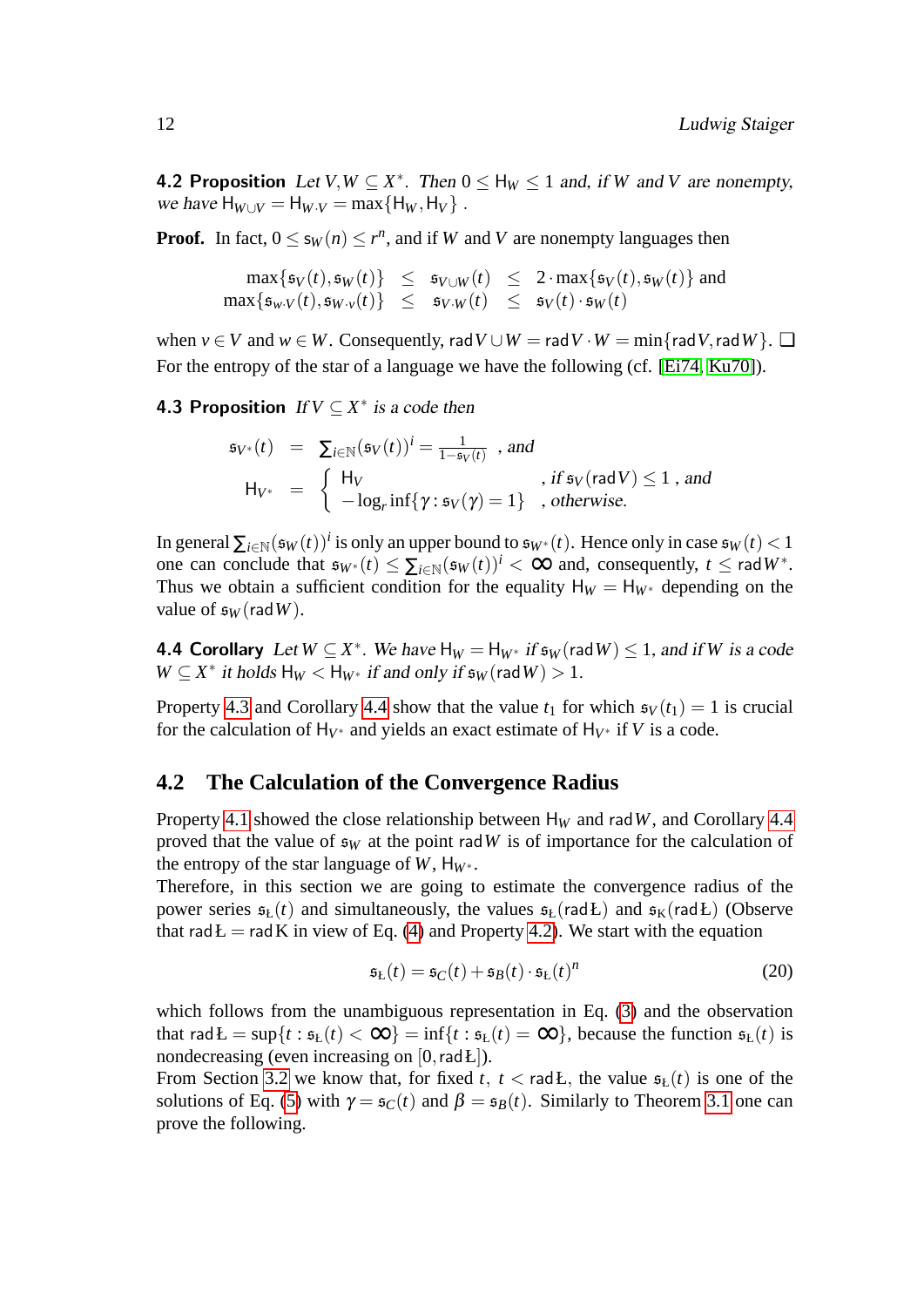**4.2 Proposition** Let  $V, W \subseteq X^*$ . Then  $0 \leq H_W \leq 1$  and, if *W* and *V* are nonempty, *we have*  $H_{W\cup V} = H_{W\cdot V} = \max\{H_W, H_V\}$ .

**Proof.** In fact,  $0 \le s_W(n) \le r^n$ , and if *W* and *V* are nonempty languages then

 $\max\{\mathfrak{s}_V(t),\mathfrak{s}_W(t)\}\ \leq\ \mathfrak{s}_{V\cup W}(t)\ \leq\ 2\cdot\max\{\mathfrak{s}_V(t),\mathfrak{s}_W(t)\}\ \text{and}$  $\max\{\mathfrak{s}_{w\cdot V}(t),\mathfrak{s}_{W\cdot v}(t)\}\quad\leq\quad \mathfrak{s}_{V\cdot W}(t)\quad\leq\quad \mathfrak{s}_{V}(t)\cdot \mathfrak{s}_{W}(t)$ 

when  $v \in V$  and  $w \in W$ . Consequently, rad  $V \cup W = \text{rad } V \cdot W = \min\{\text{rad } V, \text{rad } W\}$ .  $\Box$ For the entropy of the star of a language we have the following (cf. [\[Ei74,](#page-19-3) [Ku70\]](#page-19-1)).

**4.3 Proposition** If  $V \subseteq X^*$  is a code then

<span id="page-12-1"></span>
$$
\mathfrak{s}_{V^*}(t) = \sum_{i \in \mathbb{N}} (\mathfrak{s}_V(t))^i = \frac{1}{1 - \mathfrak{s}_V(t)}
$$
, and  
\n
$$
\mathsf{H}_{V^*} = \begin{cases} \mathsf{H}_V & \text{, if } \mathfrak{s}_V(\mathsf{rad}\,V) \le 1 \text{, and} \\ -\log_r \inf \{ \gamma : \mathfrak{s}_V(\gamma) = 1 \} & \text{, otherwise.} \end{cases}
$$

In general  $\sum_{i\in\mathbb{N}} (\mathfrak{s}_W(t))^i$  is only an upper bound to  $\mathfrak{s}_{W^*}(t)$ . Hence only in case  $\mathfrak{s}_W(t) < 1$ one can conclude that  $\mathfrak{s}_{W^*}(t) \leq \sum_{i \in \mathbb{N}} (\mathfrak{s}_W(t))^i < \infty$  and, consequently,  $t \leq \text{rad } W^*$ . Thus we obtain a sufficient condition for the equality  $H_W = H_{W^*}$  depending on the value of  $\epsilon_W$  (rad W).

<span id="page-12-2"></span>**4.4 Corollary** Let  $W \subseteq X^*$ . We have  $H_W = H_{W^*}$  if  $\mathfrak{s}_W(\text{rad }W) \leq 1$ , and if W is a code  $W \subseteq X^*$  *it holds*  $H_W < H_{W^*}$  *if and only if*  $\mathfrak{s}_W(\text{rad }W) > 1$ *.* 

Property [4.3](#page-12-1) and Corollary [4.4](#page-12-2) show that the value  $t_1$  for which  $\mathfrak{s}_V(t_1) = 1$  is crucial for the calculation of  $H_{V^*}$  and yields an exact estimate of  $H_{V^*}$  if *V* is a code.

#### <span id="page-12-0"></span>**4.2 The Calculation of the Convergence Radius**

Property [4.1](#page-11-2) showed the close relationship between  $H_W$  and rad W, and Corollary [4.4](#page-12-2) proved that the value of  $\epsilon_W$  at the point rad *W* is of importance for the calculation of the entropy of the star language of  $W$ ,  $H_{W^*}$ .

Therefore, in this section we are going to estimate the convergence radius of the power series  $\mathfrak{s}_{k}(t)$  and simultaneously, the values  $\mathfrak{s}_{k}$  (radŁ) and  $\mathfrak{s}_{k}(radL)$  (Observe that rad  $E = rad K$  in view of Eq. [\(4\)](#page-5-0) and Property [4.2\)](#page-11-3). We start with the equation

<span id="page-12-4"></span><span id="page-12-3"></span>
$$
\mathfrak{s}_{\mathcal{L}}(t) = \mathfrak{s}_{C}(t) + \mathfrak{s}_{B}(t) \cdot \mathfrak{s}_{\mathcal{L}}(t)^{n} \tag{20}
$$

which follows from the unambiguous representation in Eq. [\(3\)](#page-5-1) and the observation that rad  $\mathbf{L} = \sup\{t : \mathfrak{s}_{\mathbf{L}}(t) < \infty\} = \inf\{t : \mathfrak{s}_{\mathbf{L}}(t) = \infty\}$ , because the function  $\mathfrak{s}_{\mathbf{L}}(t)$  is nondecreasing (even increasing on  $[0, \text{rad } L]$ ).

From Section [3.2](#page-7-0) we know that, for fixed *t*,  $t <$  rad *L*, the value  $\mathfrak{s}_{L}(t)$  is one of the solutions of Eq. [\(5\)](#page-6-2) with  $\gamma = \mathfrak{s}_C(t)$  and  $\beta = \mathfrak{s}_B(t)$ . Similarly to Theorem [3.1](#page-6-3) one can prove the following.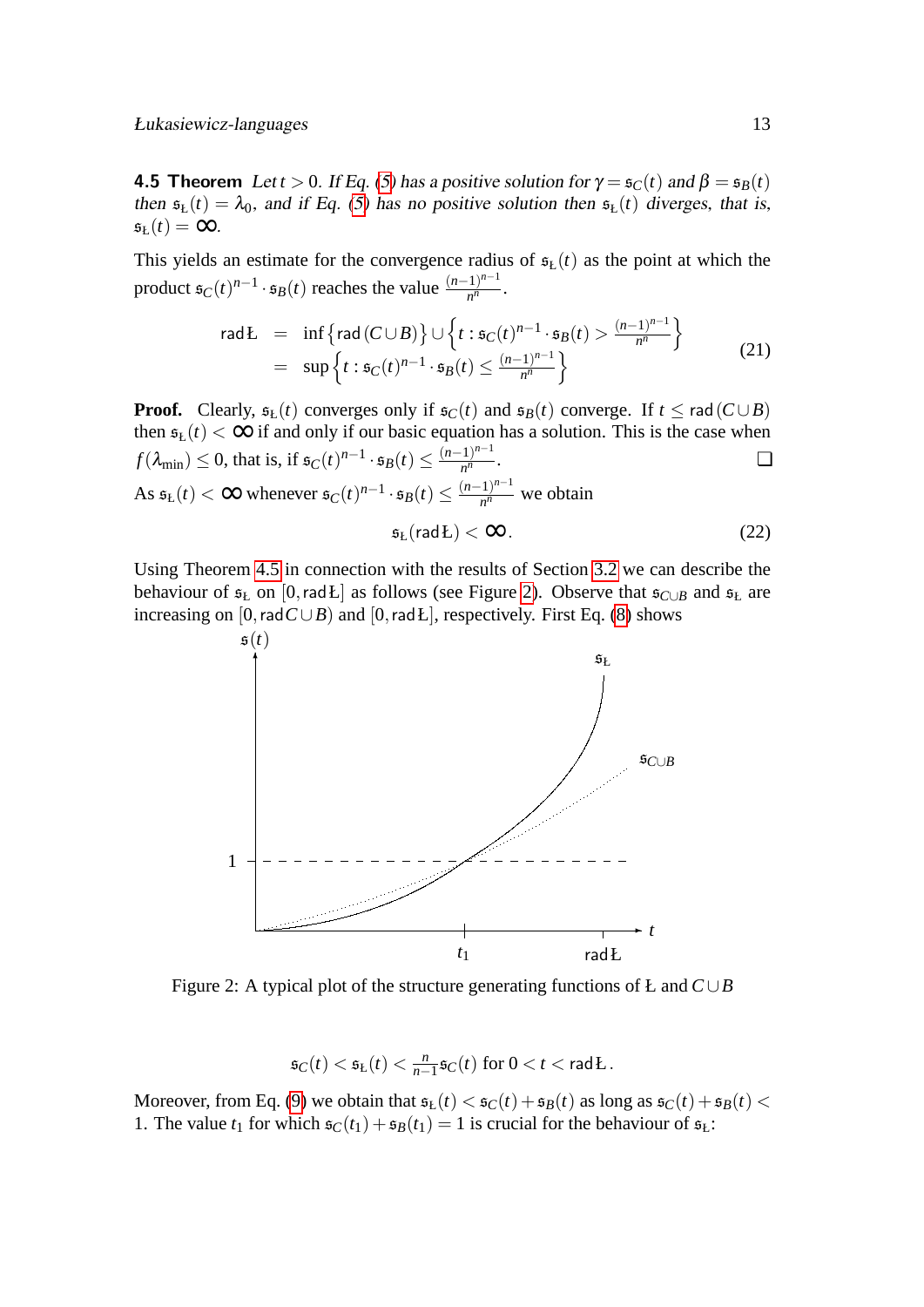**4.5 Theorem** Let *t* > 0. If Eq. [\(5\)](#page-6-2) has a positive solution for  $\gamma = \mathfrak{s}_C(t)$  and  $\beta = \mathfrak{s}_B(t)$ then  $\mathfrak{s}_{\mathbf{k}}(t) = \lambda_0$ , and if Eq. [\(5\)](#page-6-2) has no positive solution then  $\mathfrak{s}_{\mathbf{k}}(t)$  diverges, that is,  $\mathfrak{s}_{\mathsf{L}}(t) = \infty$ .

This yields an estimate for the convergence radius of  $\mathfrak{s}_{k}(t)$  as the point at which the product  $\mathfrak{s}_C(t)^{n-1} \cdot \mathfrak{s}_B(t)$  reaches the value  $\frac{(n-1)^{n-1}}{n^n}$  $\frac{1}{n^n}$ .

<span id="page-13-1"></span>
$$
\operatorname{rad} L = \inf \left\{ \operatorname{rad} (C \cup B) \right\} \cup \left\{ t : \mathfrak{s}_C(t)^{n-1} \cdot \mathfrak{s}_B(t) > \frac{(n-1)^{n-1}}{n^n} \right\}
$$
\n
$$
= \sup \left\{ t : \mathfrak{s}_C(t)^{n-1} \cdot \mathfrak{s}_B(t) \le \frac{(n-1)^{n-1}}{n^n} \right\} \tag{21}
$$

**Proof.** Clearly,  $\mathfrak{s}_L(t)$  converges only if  $\mathfrak{s}_C(t)$  and  $\mathfrak{s}_B(t)$  converge. If  $t \leq \text{rad}(C \cup B)$ then  $\mathfrak{s}_{\mathsf{L}}(t) < \infty$  if and only if our basic equation has a solution. This is the case when  $f(\lambda_{\min}) \leq 0$ , that is, if  $\mathfrak{s}_C(t)^{n-1} \cdot \mathfrak{s}_B(t) \leq \frac{(n-1)^{n-1}}{n^n}$  $\frac{1}{n^n}$ . As  $\mathfrak{s}_L(t) < \infty$  whenever  $\mathfrak{s}_C(t)^{n-1} \cdot \mathfrak{s}_B(t) \leq \frac{(n-1)^{n-1}}{n^n}$  $\frac{n^{n}}{n^{n}}$  we obtain

$$
\mathfrak{s}_L(\text{rad}\,L) < \infty\,. \tag{22}
$$

Using Theorem [4.5](#page-12-3) in connection with the results of Section [3.2](#page-7-0) we can describe the behaviour of  $\mathfrak{s}_L$  on [0,radŁ] as follows (see Figure [2\)](#page-13-0). Observe that  $\mathfrak{s}_{C\cup B}$  and  $\mathfrak{s}_L$  are increasing on [0,rad $C \cup B$ ) and [0,radŁ], respectively. First Eq. [\(8\)](#page-8-2) shows



<span id="page-13-0"></span>Figure 2: A typical plot of the structure generating functions of Ł and *C*∪*B*

$$
\mathfrak{s}_C(t) < \mathfrak{s}_{\mathbf{L}}(t) < \tfrac{n}{n-1} \mathfrak{s}_C(t) \text{ for } 0 < t < \mathsf{rad}\, \mathbf{L}\,.
$$

Moreover, from Eq. [\(9\)](#page-8-0) we obtain that  $\mathfrak{s}_L(t) < \mathfrak{s}_C(t) + \mathfrak{s}_B(t)$  as long as  $\mathfrak{s}_C(t) + \mathfrak{s}_B(t)$ 1. The value  $t_1$  for which  $\mathfrak{s}_{C}(t_1) + \mathfrak{s}_{B}(t_1) = 1$  is crucial for the behaviour of  $\mathfrak{s}_{L}$ :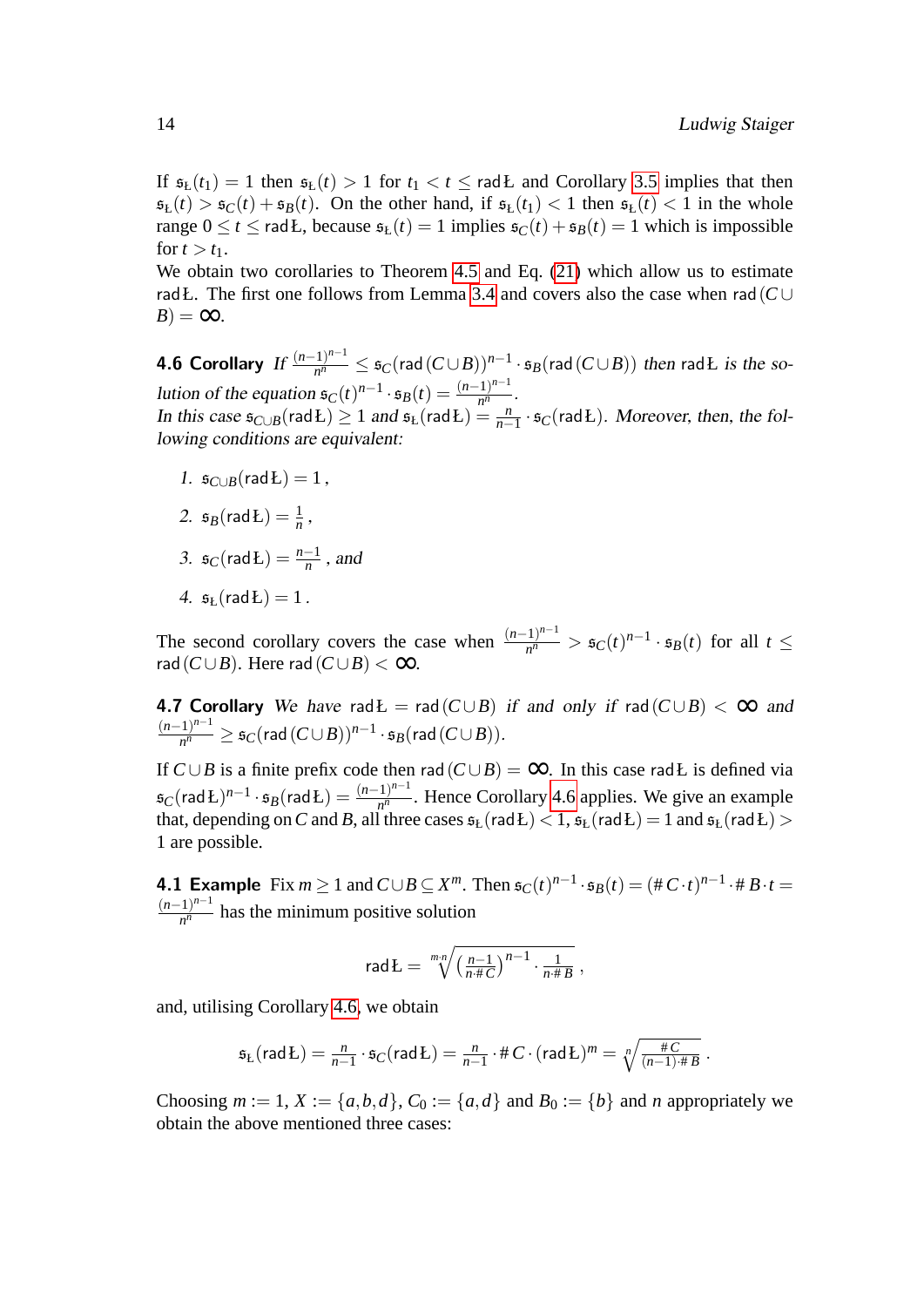If  $\mathfrak{s}_{L}(t_1) = 1$  then  $\mathfrak{s}_{L}(t) > 1$  for  $t_1 < t \leq \text{rad}$  and Corollary [3.5](#page-9-2) implies that then  $\mathfrak{s}_L(t) > \mathfrak{s}_C(t) + \mathfrak{s}_B(t)$ . On the other hand, if  $\mathfrak{s}_L(t) < 1$  then  $\mathfrak{s}_L(t) < 1$  in the whole range  $0 \le t \le$  rad *L*, because  $\mathfrak{s}_L(t) = 1$  implies  $\mathfrak{s}_C(t) + \mathfrak{s}_B(t) = 1$  which is impossible for  $t > t_1$ .

<span id="page-14-0"></span>We obtain two corollaries to Theorem [4.5](#page-12-3) and Eq. [\(21\)](#page-13-1) which allow us to estimate radŁ. The first one follows from Lemma [3.4](#page-8-1) and covers also the case when rad(*C* ∪  $B$ ) = ∞.

**4.6 Corollary** If  $\frac{(n-1)^{n-1}}{n^n}$  $\frac{f_1 n^{n-1}}{n^n}$  ≤  $\mathfrak{s}_C(\textsf{rad}(C \cup B))^{n-1} \cdot \mathfrak{s}_B(\textsf{rad}(C \cup B))$  then radŁ is the solution of the equation  $\mathfrak{s}_C(t)^{n-1} \cdot \mathfrak{s}_B(t) = \frac{(n-1)^{n-1}}{n^n}$  $\frac{1}{n^n}$ . In this case  $\mathfrak{s}_{C\cup B}(\text{rad} \mathbf{L}) \geq 1$  and  $\mathfrak{s}_{L}(\text{rad} \mathbf{L}) = \frac{n}{n-1} \cdot \mathfrak{s}_{C}(\text{rad} \mathbf{L})$ . Moreover, then, the following conditions are equivalent:

- 1.  $\mathfrak{s}_{C\cup B}(\text{rad} L) = 1$ ,
- 2.  $\mathfrak{s}_B(\mathsf{rad} \mathbb{L}) = \frac{1}{n}$ ,
- 3.  $\mathfrak{s}_C(\text{rad} \mathbf{L}) = \frac{n-1}{n}$ , and
- <span id="page-14-1"></span>4.  $s_k$ (rad **L**) = 1.

The second corollary covers the case when  $\frac{(n-1)^{n-1}}{n^n}$  $\frac{(-1)^{n-1}}{n^n}$  >  $\mathfrak{s}_C(t)^{n-1} \cdot \mathfrak{s}_B(t)$  for all *t* ≤ rad( $C \cup B$ ). Here rad( $C \cup B$ ) < ∞.

**4.7 Corollary** We have rad $E = rad(C \cup B)$  if and only if rad $(C \cup B) < \infty$  and  $(n-1)^{n-1}$  $\frac{1}{n^n}$   $\geq$   $\mathfrak{s}_C(\mathsf{rad}\left(C\cup B\right))^{n-1}\cdot \mathfrak{s}_B(\mathsf{rad}\left(C\cup B\right)).$ 

If  $C \cup B$  is a finite prefix code then rad  $(C \cup B) = ∞$ . In this case radŁ is defined via  $\mathfrak{s}_C(\mathsf{rad}\, \mathrm{L})^{n-1} \cdot \mathfrak{s}_B(\mathsf{rad}\, \mathrm{L}) = \frac{(n-1)^{n-1}}{n^n}$  $\frac{1}{n^n}$ . Hence Corollary [4.6](#page-14-0) applies. We give an example that, depending on  $C$  and  $B$ , all three cases  $\mathfrak{s}_{\rm L}(\mathsf{rad} \, \rm{L})$   $<$   $1$ ,  $\mathfrak{s}_{\rm L}(\mathsf{rad} \, \rm{L})$   $=$   $1$  and  $\mathfrak{s}_{\rm L}(\mathsf{rad} \, \rm{L})$   $>$ 1 are possible.

<span id="page-14-2"></span>**4.1 Example** Fix  $m \geq 1$  and  $C \cup B \subseteq X^m$ . Then  $\mathfrak{s}_C(t)^{n-1} \cdot \mathfrak{s}_B(t) = (\#C \cdot t)^{n-1} \cdot \# B \cdot t =$  $(n-1)^{n-1}$  $\frac{1}{n^n}$  has the minimum positive solution

$$
\mathsf{rad}\,L = \sqrt[mn]{\left(\frac{n-1}{n\cdot\#C}\right)^{n-1}\cdot\frac{1}{n\cdot\#B}}\,,
$$

and, utilising Corollary [4.6,](#page-14-0) we obtain

$$
\mathfrak{s}_L(\mathsf{rad} L) = \tfrac{n}{n-1} \cdot \mathfrak{s}_C(\mathsf{rad} L) = \tfrac{n}{n-1} \cdot \# C \cdot (\mathsf{rad} L)^m = \sqrt[n]{\tfrac{\# C}{(n-1) \cdot \# B}}.
$$

Choosing  $m := 1, X := \{a, b, d\}$ ,  $C_0 := \{a, d\}$  and  $B_0 := \{b\}$  and *n* appropriately we obtain the above mentioned three cases: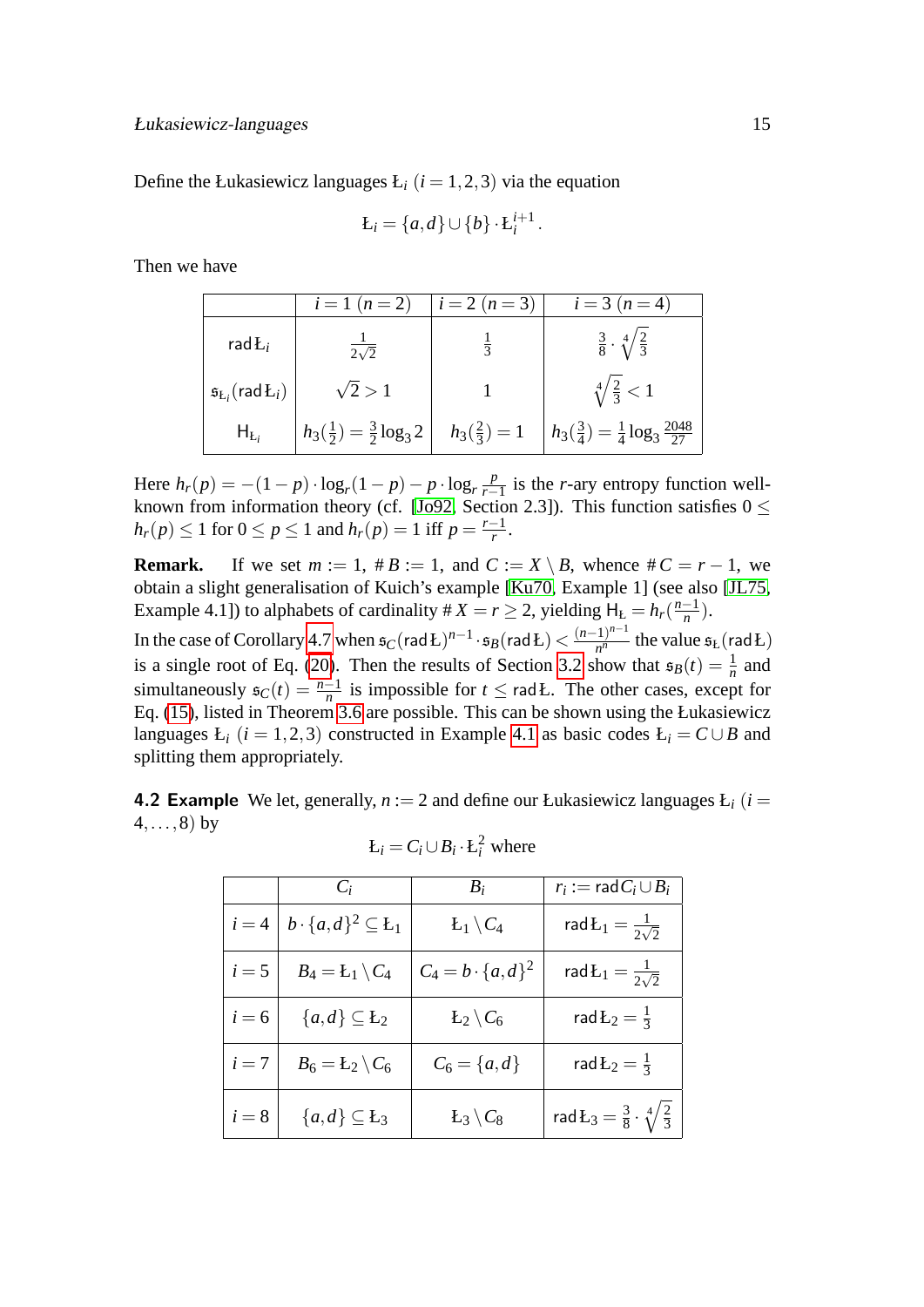Define the Łukasiewicz languages  $L_i$  ( $i = 1, 2, 3$ ) via the equation

$$
L_i = \{a,d\} \cup \{b\} \cdot L_i^{i+1}.
$$

Then we have

|                                       | $i = 1 (n = 2)$                           | $i = 2 (n = 3)$        | $i = 3 (n = 4)$                                         |
|---------------------------------------|-------------------------------------------|------------------------|---------------------------------------------------------|
| rad $L_i$                             | $\frac{1}{2\sqrt{2}}$                     | $\frac{1}{3}$          | $\frac{3}{8} \cdot \sqrt[4]{\frac{2}{3}}$               |
| $\mathfrak{s}_{L_i}(\text{rad}\,L_i)$ | $\sqrt{2} > 1$                            |                        | $\sqrt[4]{\frac{2}{3}} < 1$                             |
| $H_{L_i}$                             | $h_3(\frac{1}{2}) = \frac{3}{2} \log_3 2$ | $h_3(\frac{2}{3}) = 1$ | $h_3(\frac{3}{4}) = \frac{1}{4} \log_3 \frac{2048}{27}$ |

Here  $h_r(p) = -(1 - p) \cdot \log_r(1 - p) - p \cdot \log_r \frac{p}{r-1}$  $\frac{p}{r-1}$  is the *r*-ary entropy function well-known from information theory (cf. [\[Jo92,](#page-19-6) Section 2.3]). This function satisfies  $0 \leq$  $h_r(p) \le 1$  for  $0 \le p \le 1$  and  $h_r(p) = 1$  iff  $p = \frac{r-1}{r}$  $\frac{-1}{r}$ .

**Remark.** If we set  $m := 1$ ,  $\# B := 1$ , and  $C := X \setminus B$ , whence  $\# C = r - 1$ , we obtain a slight generalisation of Kuich's example [\[Ku70,](#page-19-1) Example 1] (see also [\[JL75,](#page-19-4) Example 4.1]) to alphabets of cardinality  $\# X = r \geq 2$ , yielding  $H_L = h_r(\frac{n-1}{n})$ . *n*

In the case of Corollary [4.7](#page-14-1) when  $\mathfrak{s}_C(\mathsf{rad} \mathbf{L})^{n-1} \cdot \mathfrak{s}_B(\mathsf{rad} \mathbf{L}) < \frac{(n-1)^{n-1}}{n^n}$  $\frac{1}{n^n}$  the value  $\mathfrak{s}_L$  (rad Ł) is a single root of Eq. [\(20\)](#page-12-4). Then the results of Section [3.2](#page-7-0) show that  $\mathfrak{s}_B(t) = \frac{1}{n}$  and simultaneously  $\mathfrak{s}_C(t) = \frac{n-1}{n}$  is impossible for  $t \leq \text{rad}$ . The other cases, except for Eq. [\(15\)](#page-9-1), listed in Theorem [3.6](#page-9-3) are possible. This can be shown using the Łukasiewicz languages  $L_i$  ( $i = 1, 2, 3$ ) constructed in Example [4.1](#page-14-2) as basic codes  $L_i = C \cup B$  and splitting them appropriately.

4.2 Example We let, generally,  $n := 2$  and define our Łukasiewicz languages  $E_i$  ( $i =$  $4, \ldots, 8$ ) by

|         | $C_i$                             | $B_i$                      | $r_i := \text{rad} C_i \cup B_i$                    |
|---------|-----------------------------------|----------------------------|-----------------------------------------------------|
| $i=4$   | $b \cdot \{a,d\}^2 \subseteq L_1$ | $L_1 \backslash C_4$       | rad $L_1 = \frac{1}{2\sqrt{2}}$                     |
| $i=5$   | $B_4 = L_1 \setminus C_4$         | $C_4 = b \cdot \{a, d\}^2$ | rad $L_1 = \frac{1}{2\sqrt{2}}$                     |
| $i = 6$ | ${a,d}\subseteq L_2$              | $L_2 \backslash C_6$       | rad $L_2 = \frac{1}{3}$                             |
| $i=7$   | $B_6 = L_2 \setminus C_6$         | $C_6 = \{a, d\}$           | rad $L_2 = \frac{1}{3}$                             |
| $i=8$   | ${a,d}\subseteq L_3$              | $L_3 \backslash C_8$       | rad $L_3 = \frac{3}{8} \cdot \sqrt[4]{\frac{2}{3}}$ |

<span id="page-15-0"></span>
$$
E_i = C_i \cup B_i \cdot E_i^2
$$
 where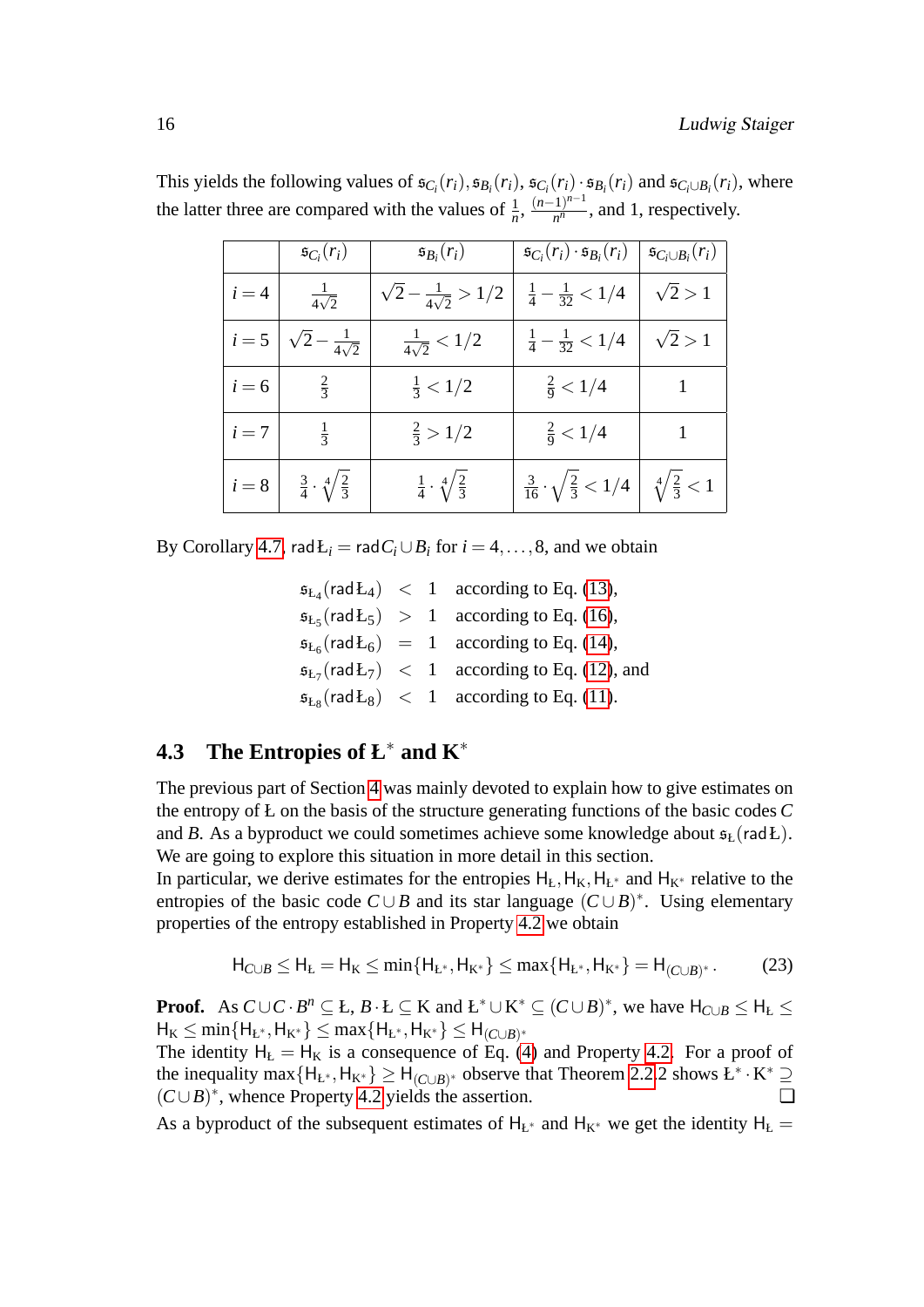|         | $\mathfrak{s}_{C_i}(r_i)$               | $\mathfrak{s}_{B_i}(r_i)$               | $\mathfrak{s}_{C_i}(r_i) \cdot \mathfrak{s}_{B_i}(r_i)$ | $\mathfrak{s}_{C_i\cup B_i}(r_i)$ |
|---------|-----------------------------------------|-----------------------------------------|---------------------------------------------------------|-----------------------------------|
| $i=4$   | $rac{1}{4\sqrt{2}}$                     | $\sqrt{2} - \frac{1}{4\sqrt{2}} > 1/2$  | $\frac{1}{4} - \frac{1}{32} < 1/4$                      | $\sqrt{2} > 1$                    |
| $i=5$   | $\sqrt{2-\frac{1}{4\sqrt{2}}}$          | $\frac{1}{4\sqrt{2}} < 1/2$             | $\frac{1}{4} - \frac{1}{32} < 1/4$                      | $\sqrt{2} > 1$                    |
| $i = 6$ | $\frac{2}{3}$                           | $\frac{1}{3}$ < 1/2                     | $\frac{2}{9} < 1/4$                                     | $\vert$ 1                         |
| $i=7$   | $\frac{1}{3}$                           | $\frac{2}{3} > 1/2$                     | $\frac{2}{9}$ < 1/4                                     |                                   |
| $i=8$   | $rac{3}{4} \cdot \sqrt[4]{\frac{2}{3}}$ | $rac{1}{4} \cdot \sqrt[4]{\frac{2}{3}}$ | $\frac{3}{16} \cdot \sqrt{\frac{2}{3}} < 1/4$           | $\sqrt[4]{\frac{2}{3}} < 1$       |

This yields the following values of  $\mathfrak{s}_{C_i}(r_i), \mathfrak{s}_{B_i}(r_i), \mathfrak{s}_{C_i}(r_i) \cdot \mathfrak{s}_{B_i}(r_i)$  and  $\mathfrak{s}_{C_i \cup B_i}(r_i)$ , where the latter three are compared with the values of  $\frac{1}{n}$ ,  $\frac{(n-1)^{n-1}}{n^n}$  $\frac{n^1}{n^n}$ , and 1, respectively.

By Corollary [4.7,](#page-14-1) rad $E_i$  = rad $C_i \cup B_i$  for  $i = 4, ..., 8$ , and we obtain

 $\mathfrak{s}_{L_4}(\text{rad}\mathfrak{L}_4) \ < 1$  according to Eq. [\(13\)](#page-9-1),  $\mathfrak{s}_{L_5}(\text{rad} L_5) > 1$  according to Eq. [\(16\)](#page-9-1),  $\mathfrak{s}_{L_6}(\text{rad}\,L_6) = 1$  according to Eq. [\(14\)](#page-9-1),  $\mathfrak{s}_{L_7}(\text{rad}\,\mathfrak{L}_7) \ < 1$  according to Eq. [\(12\)](#page-9-1), and  $\mathfrak{s}_{L_8}(\text{rad} \mathcal{L}_8) \ < 1$  according to Eq. [\(11\)](#page-9-1).

### <span id="page-16-0"></span>**4.3 The Entropies of Ł**<sup>∗</sup> **and K**<sup>∗</sup>

The previous part of Section [4](#page-10-1) was mainly devoted to explain how to give estimates on the entropy of Ł on the basis of the structure generating functions of the basic codes *C* and *B*. As a byproduct we could sometimes achieve some knowledge about  $\mathfrak{s}_t$  (rad *L*). We are going to explore this situation in more detail in this section.

In particular, we derive estimates for the entropies  $H<sub>k</sub>, H<sub>K</sub>, H<sub>L</sub>$ <sup>\*</sup> and  $H<sub>K</sub>^*$  relative to the entropies of the basic code  $C \cup B$  and its star language  $(C \cup B)^*$ . Using elementary properties of the entropy established in Property [4.2](#page-11-3) we obtain

<span id="page-16-1"></span>
$$
H_{C \cup B} \le H_{L} = H_{K} \le \min\{H_{L^{*}}, H_{K^{*}}\} \le \max\{H_{L^{*}}, H_{K^{*}}\} = H_{(C \cup B)^{*}}.
$$
 (23)

**Proof.** As  $C \cup C \cdot B^n \subseteq L$ ,  $B \cdot L \subseteq K$  and  $L^* \cup K^* \subseteq (C \cup B)^*$ , we have  $H_{C \cup B} \le H_L \le H$  $H_K \le \min\{H_{L^*}, H_{K^*}\} \le \max\{H_{L^*}, H_{K^*}\} \le H_{(C \cup B)^*}$ 

The identity  $H<sub>k</sub> = H<sub>K</sub>$  is a consequence of Eq. [\(4\)](#page-5-0) and Property [4.2.](#page-11-3) For a proof of the inequality max { $H_{L^*}, H_{K^*}$ }  $\geq H_{(C \cup B)^*}$  observe that Theorem [2.2.](#page-5-2)2 shows  $L^* \cdot K^* \supseteq$  $(C \cup B)^*$ , whence Property [4.2](#page-11-3) yields the assertion.

As a byproduct of the subsequent estimates of  $H_{L^*}$  and  $H_{K^*}$  we get the identity  $H_L =$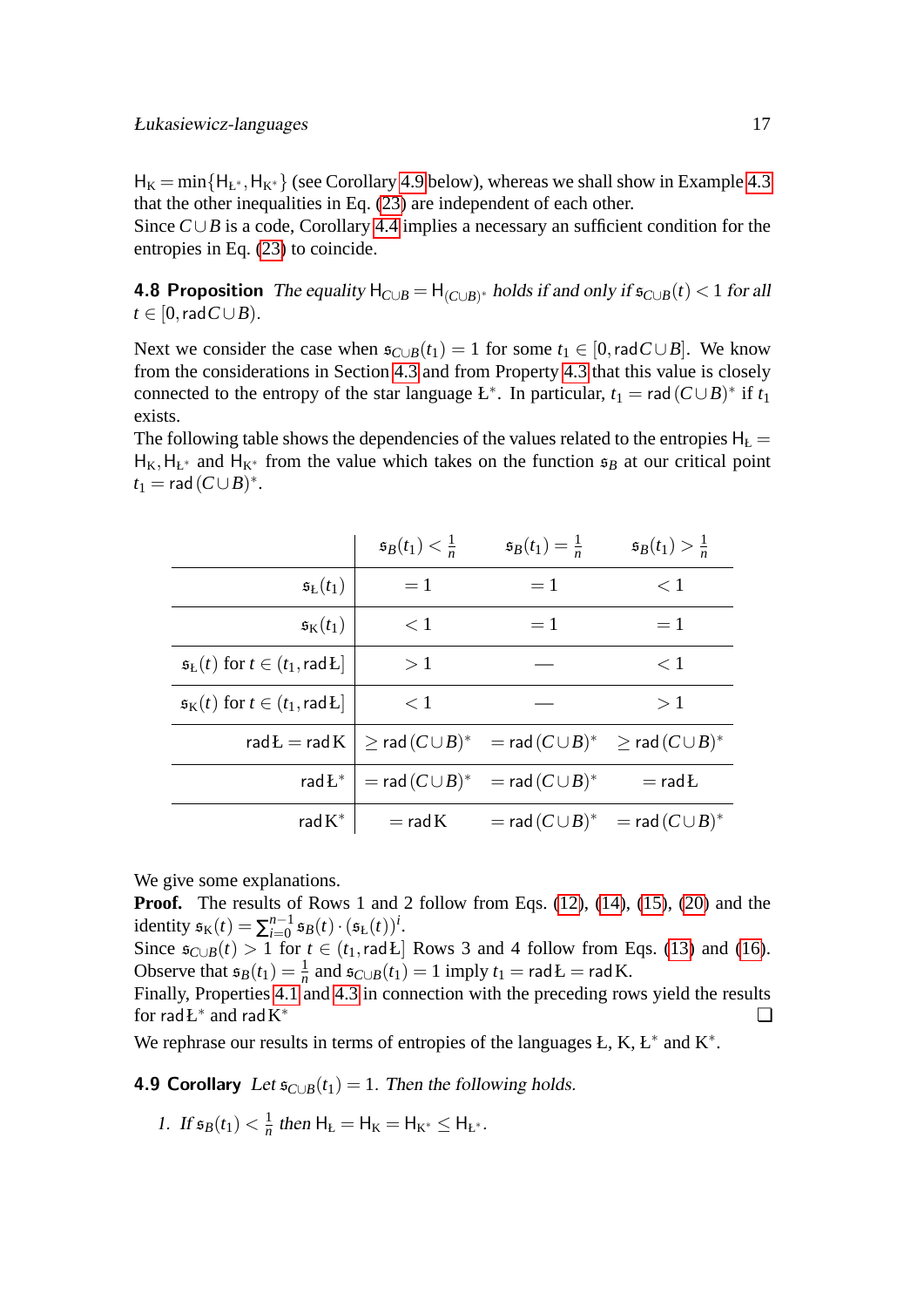$H_K = min{H_{E^*}, H_{K^*}}$  (see Corollary [4.9](#page-17-0) below), whereas we shall show in Example [4.3](#page-18-0) that the other inequalities in Eq. [\(23\)](#page-16-1) are independent of each other.

Since *C*∪*B* is a code, Corollary [4.4](#page-12-2) implies a necessary an sufficient condition for the entropies in Eq. [\(23\)](#page-16-1) to coincide.

**4.8 Proposition** The equality  $H_{C\cup B} = H_{(C\cup B)^*}$  holds if and only if  $\mathfrak{s}_{C\cup B}(t) < 1$  for all  $t \in [0, \text{rad } C \cup B)$ .

Next we consider the case when  $\mathfrak{s}_{C\cup B}(t_1) = 1$  for some  $t_1 \in [0, \text{rad } C \cup B]$ . We know from the considerations in Section [4.3](#page-16-0) and from Property [4.3](#page-12-1) that this value is closely connected to the entropy of the star language  $E^*$ . In particular,  $t_1 = \text{rad}(C \cup B)^*$  if  $t_1$ exists.

The following table shows the dependencies of the values related to the entropies  $H<sub>L</sub>$  =  $H_K, H_{L^*}$  and  $H_{K^*}$  from the value which takes on the function  $\mathfrak{s}_B$  at our critical point  $t_1 = \text{rad}(C \cup B)^*$ .

|                                                                              | $\mathfrak{s}_B(t_1)<\frac{1}{n}$ | $\mathfrak{s}_{B}(t_{1})=\frac{1}{n}$                                                                    | $\mathfrak{s}_{B}(t_{1})>\frac{1}{n}$ |
|------------------------------------------------------------------------------|-----------------------------------|----------------------------------------------------------------------------------------------------------|---------------------------------------|
| $\mathfrak{s}_{\mathrm{L}}(t_1)$                                             | $=1$                              | $=1$                                                                                                     | $\lt 1$                               |
| $\mathfrak{s}_{\mathrm{K}}(t_1)$                                             | $\leq 1$                          | $=1$                                                                                                     | $=1$                                  |
| $\mathfrak{s}_{L}(t)$ for $t \in (t_1, \text{rad } L]$                       | >1                                |                                                                                                          | $\leq 1$                              |
| $\mathfrak{s}_{\mathrm{K}}(t)$ for $t \in (t_1, \mathsf{rad} \, \mathsf{L})$ | < 1                               |                                                                                                          | >1                                    |
|                                                                              |                                   | rad $L = rad K \geq rad(C \cup B)^* = rad(C \cup B)^* \geq rad(C \cup B)^*$                              |                                       |
| rad $L^*$                                                                    |                                   | $\Gamma = \operatorname{\mathsf{rad}}\, (C \cup B)^* \quad = \operatorname{\mathsf{rad}}\, (C \cup B)^*$ | $=$ rad $L$                           |
| rad $K^*$                                                                    |                                   | $\Gamma = \text{rad K}$ $= \text{rad } (C \cup B)^*$ $= \text{rad } (C \cup B)^*$                        |                                       |

We give some explanations.

**Proof.** The results of Rows 1 and 2 follow from Eqs. [\(12\)](#page-9-1), [\(14\)](#page-9-1), [\(15\)](#page-9-1), [\(20\)](#page-12-4) and the identity  $\mathfrak{s}_{K}(t) = \sum_{i=0}^{n-1}$  $^{n-1}_{i=0}$   $\mathfrak{s}_{B}(t) \cdot (\mathfrak{s}_{L}(t))^{i}$ .

Since  $\mathfrak{s}_{C\cup B}(t) > 1$  for  $t \in (t_1, \text{rad }E]$  Rows 3 and 4 follow from Eqs. [\(13\)](#page-9-1) and [\(16\)](#page-9-1). Observe that  $\mathfrak{s}_B(t_1) = \frac{1}{n}$  and  $\mathfrak{s}_{C\cup B}(t_1) = 1$  imply  $t_1 = \text{rad} \mathbf{L} = \text{rad} \mathbf{K}$ .

Finally, Properties [4.1](#page-11-2) and [4.3](#page-12-1) in connection with the preceding rows yield the results for  $radL^*$  and  $radK$ <sup>∗</sup> ❏

We rephrase our results in terms of entropies of the languages  $E, K, E^*$  and  $K^*$ .

4.9 Corollary Let  $s_{C\cup B}(t_1) = 1$ . Then the following holds.

<span id="page-17-0"></span>1. If  $\mathfrak{s}_B(t_1) < \frac{1}{n}$  $\frac{1}{n}$  then  $H_L = H_K = H_{K^*} \leq H_{L^*}.$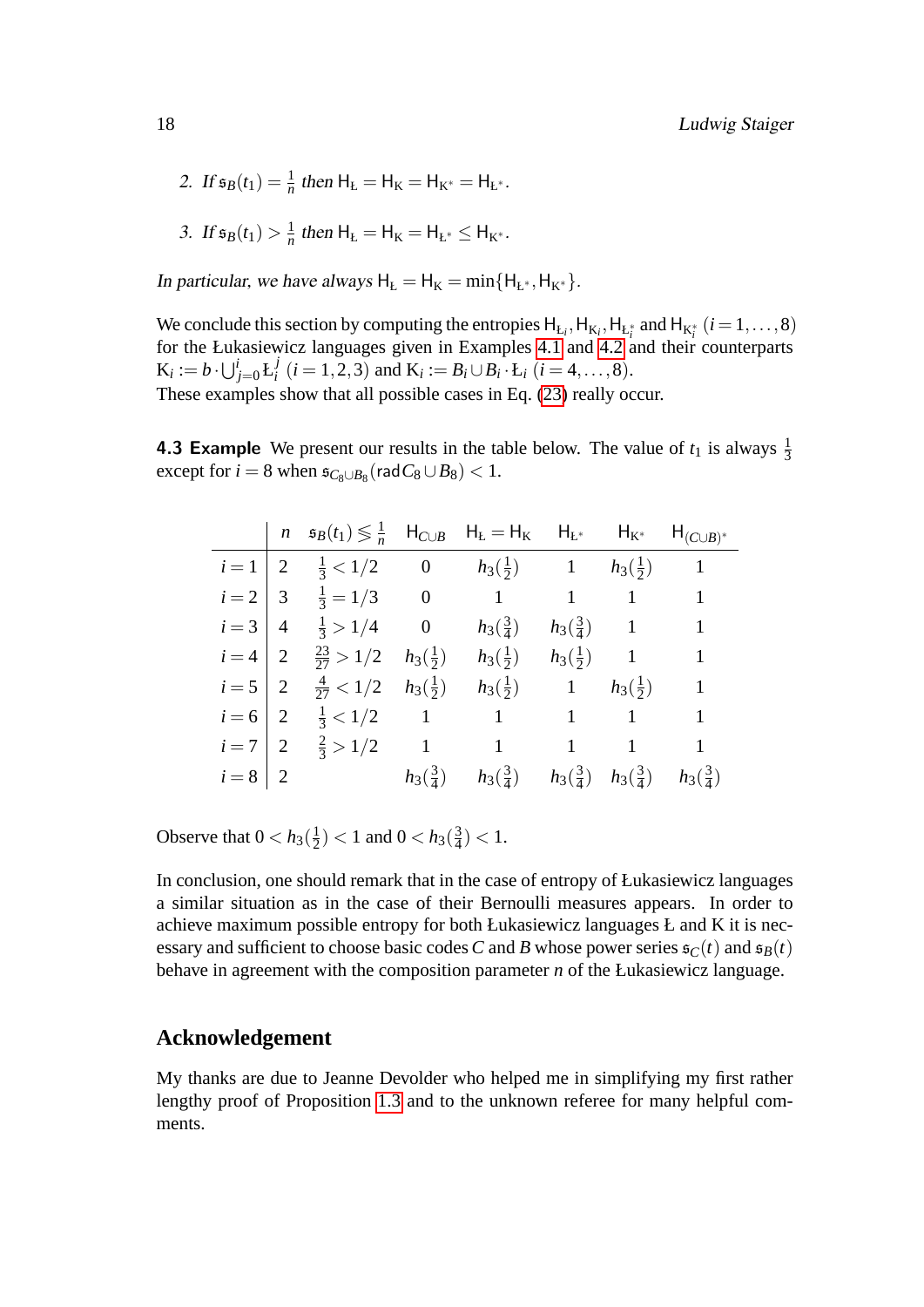2. If 
$$
\mathfrak{s}_B(t_1) = \frac{1}{n}
$$
 then  $H_L = H_K = H_{K^*} = H_{L^*}$ .

3. If 
$$
\mathfrak{s}_B(t_1) > \frac{1}{n}
$$
 then  $H_L = H_K = H_{L^*} \leq H_{K^*}$ .

In particular, we have always  $H<sub>E</sub> = H<sub>K</sub> = min{H<sub>E<sup>*</sup>, H<sub>K<sup>*</sup></sub>}</sub>$ .

We conclude this section by computing the entropies  $H_{L_i}, H_{K_i}, H_{L_i^*}$  and  $H_{K_i^*}$  ( $i = 1, ..., 8$ ) for the Łukasiewicz languages given in Examples [4.1](#page-14-2) and [4.2](#page-15-0) and their counterparts  $\mathrm{K}_i := b \cdot \bigcup_{j=0}^i \mathrm{L}_i^j$  $J_i^J$  (*i* = 1, 2, 3) and  $K_i := B_i \cup B_i \cdot L_i$  (*i* = 4, ..., 8). These examples show that all possible cases in Eq. [\(23\)](#page-16-1) really occur.

**4.3 Example** We present our results in the table below. The value of  $t_1$  is always  $\frac{1}{3}$ except for  $i = 8$  when  $\mathfrak{s}_{C_8 \cup B_8}(\mathsf{rad}\mathbb{C}_8 \cup \mathbb{B}_8) < 1$ .

<span id="page-18-0"></span>

|           | $n \quad \mathfrak{s}_B(t_1) \leq \frac{1}{n} \quad H_{C \cup B} \quad H_E = H_K \quad H_{E^*} \quad H_{K^*} \quad H_{(C \cup B)^*}$ |                    |                                                                             |                      |                        |                    |
|-----------|--------------------------------------------------------------------------------------------------------------------------------------|--------------------|-----------------------------------------------------------------------------|----------------------|------------------------|--------------------|
| $i=1$   2 | $\frac{1}{3}$ < 1/2 0                                                                                                                |                    | $h_3(\frac{1}{2})$ 1 $h_3(\frac{1}{2})$ 1                                   |                      |                        |                    |
|           | $i=2$   3 $\frac{1}{3}$ = 1/3 0                                                                                                      |                    | $1 \qquad 1 \qquad 1 \qquad 1$                                              |                      |                        |                    |
| $i=3$   4 | $\frac{1}{3} > 1/4$ 0                                                                                                                |                    | $h_3(\frac{3}{4})$                                                          | $h_3(\frac{3}{4})$ 1 |                        | 1                  |
| $i=4$   2 | $\frac{23}{27} > 1/2$                                                                                                                |                    | $h_3(\frac{1}{2})$ $h_3(\frac{1}{2})$                                       |                      | $h_3(\frac{1}{2})$ 1 1 |                    |
| $i=5$   2 | $\frac{4}{27}$ < 1/2                                                                                                                 | $h_3(\frac{1}{2})$ | $h_3(\frac{1}{2})$                                                          |                      | 1 $h_3(\frac{1}{2})$ 1 |                    |
| $i=6$   2 |                                                                                                                                      |                    | $\frac{1}{3} < 1/2$ 1 1 1 1                                                 |                      |                        |                    |
| $i=7$   2 |                                                                                                                                      |                    | $\frac{2}{3} > 1/2$ 1 1 1                                                   |                      |                        | $\sim$ 1           |
| $i=8$   2 |                                                                                                                                      |                    | $h_3(\frac{3}{4})$ $h_3(\frac{3}{4})$ $h_3(\frac{3}{4})$ $h_3(\frac{3}{4})$ |                      |                        | $h_3(\frac{3}{4})$ |

Observe that  $0 < h_3(\frac{1}{2})$  $(\frac{1}{2})$  < 1 and 0 <  $h_3(\frac{3}{4})$  $(\frac{3}{4})$  < 1.

In conclusion, one should remark that in the case of entropy of Łukasiewicz languages a similar situation as in the case of their Bernoulli measures appears. In order to achieve maximum possible entropy for both Łukasiewicz languages Ł and K it is necessary and sufficient to choose basic codes *C* and *B* whose power series  $\mathfrak{s}_C(t)$  and  $\mathfrak{s}_B(t)$ behave in agreement with the composition parameter *n* of the Łukasiewicz language.

#### **Acknowledgement**

My thanks are due to Jeanne Devolder who helped me in simplifying my first rather lengthy proof of Proposition [1.3](#page-4-2) and to the unknown referee for many helpful comments.